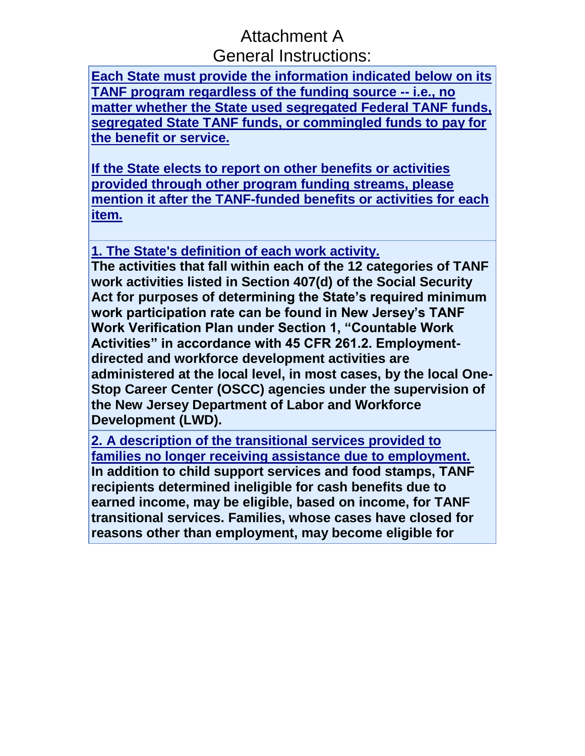#### Attachment A General Instructions:

**[Each State must provide the information indicated below on its](javascript:alert()  [TANF program regardless of the funding source --](javascript:alert() i.e., no [matter whether the State used segregated Federal TANF funds,](javascript:alert()  [segregated State TANF funds, or commingled funds to pay for](javascript:alert()  [the benefit or service.](javascript:alert()**

**[If the State elects to report on other benefits or activities](javascript:alert()  [provided through other program funding streams, please](javascript:alert()  [mention it after the TANF-funded benefits or activities for each](javascript:alert()  [item.](javascript:alert()**

**[1. The State's definition of each work activity.](javascript:alert()**

**The activities that fall within each of the 12 categories of TANF work activities listed in Section 407(d) of the Social Security Act for purposes of determining the State's required minimum work participation rate can be found in New Jersey's TANF Work Verification Plan under Section 1, "Countable Work Activities" in accordance with 45 CFR 261.2. Employmentdirected and workforce development activities are administered at the local level, in most cases, by the local One-Stop Career Center (OSCC) agencies under the supervision of the New Jersey Department of Labor and Workforce Development (LWD).**

**[2. A description of the transitional services provided to](javascript:alert()  [families no longer receiving assistance due to employment.](javascript:alert() In addition to child support services and food stamps, TANF recipients determined ineligible for cash benefits due to earned income, may be eligible, based on income, for TANF transitional services. Families, whose cases have closed for reasons other than employment, may become eligible for**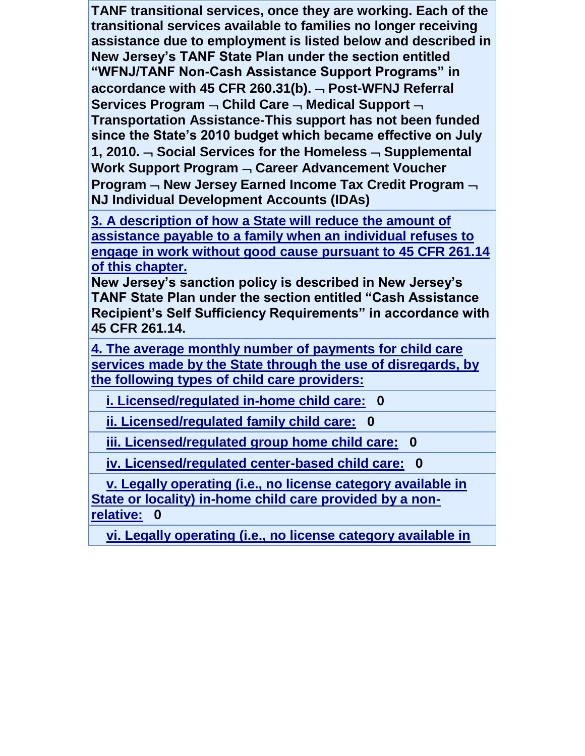**TANF transitional services, once they are working. Each of the transitional services available to families no longer receiving assistance due to employment is listed below and described in New Jersey's TANF State Plan under the section entitled "WFNJ/TANF Non-Cash Assistance Support Programs" in accordance with 45 CFR 260.31(b). Post-WFNJ Referral Services Program Child Care Medical Support Transportation Assistance-This support has not been funded since the State's 2010 budget which became effective on July 1, 2010. Social Services for the Homeless Supplemental Work Support Program – Career Advancement Voucher Program – New Jersey Earned Income Tax Credit Program – NJ Individual Development Accounts (IDAs)**

**[3. A description of how a State will reduce the amount of](javascript:alert()  [assistance payable to a family when an individual refuses to](javascript:alert()  [engage in work without good cause pursuant to 45 CFR 261.14](javascript:alert()  [of this chapter.](javascript:alert()**

**New Jersey's sanction policy is described in New Jersey's TANF State Plan under the section entitled "Cash Assistance Recipient's Self Sufficiency Requirements" in accordance with 45 CFR 261.14.**

**[4. The average monthly number of payments for child care](javascript:alert()  [services made by the State through the use of disregards, by](javascript:alert()  [the following types of child care providers:](javascript:alert()**

 **[i. Licensed/regulated in-home child care:](javascript:alert() 0**

 **[ii. Licensed/regulated family child care:](javascript:alert() 0**

 **[iii. Licensed/regulated group home child care:](javascript:alert() 0**

 **[iv. Licensed/regulated center-based child care:](javascript:alert() 0**

 **[v. Legally operating \(i.e., no license category available in](javascript:alert()  [State or locality\) in-home child care provided by a non](javascript:alert()[relative:](javascript:alert() 0**

 **[vi. Legally operating \(i.e., no license category available in](javascript:alert()**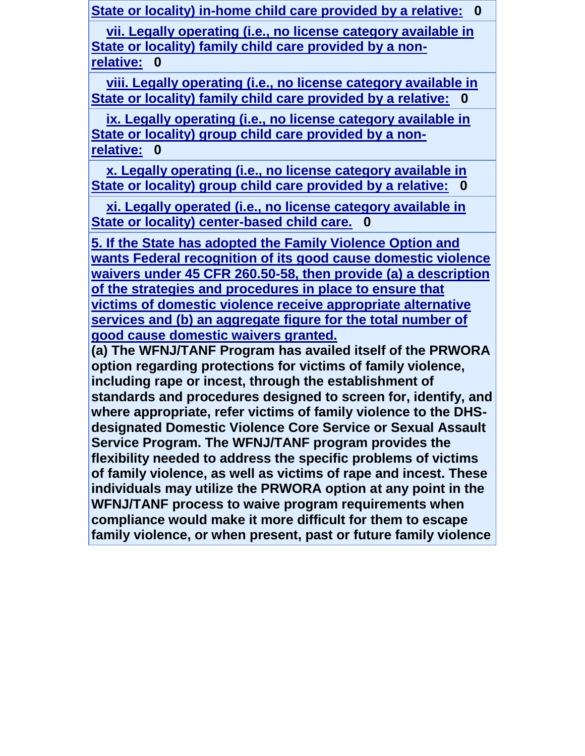**State or locality) in-home child care provided by a relative: 0**

 **[vii. Legally operating \(i.e., no license category available in](javascript:alert()  [State or locality\) family child care provided by a non](javascript:alert()[relative:](javascript:alert() 0**

 **[viii. Legally operating \(i.e., no license category available in](javascript:alert()  [State or locality\) family child care provided by a relative:](javascript:alert() 0**

 **[ix. Legally operating \(i.e., no license category available in](javascript:alert()  [State or locality\) group child care provided by a non](javascript:alert()[relative:](javascript:alert() 0**

 **[x. Legally operating \(i.e., no license category available in](javascript:alert()  [State or locality\) group child care provided by a relative:](javascript:alert() 0**

 **[xi. Legally operated \(i.e., no license category available in](javascript:alert()  [State or locality\) center-based child care.](javascript:alert() 0**

**[5. If the State has adopted the Family Violence Option and](javascript:alert()  [wants Federal recognition of its good cause domestic violence](javascript:alert()  [waivers under 45 CFR 260.50-58, then provide \(a\) a description](javascript:alert()  [of the strategies and procedures in place to ensure that](javascript:alert()  [victims of domestic violence receive appropriate alternative](javascript:alert()  [services and \(b\) an aggregate figure for the total number of](javascript:alert()  [good cause domestic waivers granted.](javascript:alert()**

**(a) The WFNJ/TANF Program has availed itself of the PRWORA option regarding protections for victims of family violence, including rape or incest, through the establishment of standards and procedures designed to screen for, identify, and where appropriate, refer victims of family violence to the DHSdesignated Domestic Violence Core Service or Sexual Assault Service Program. The WFNJ/TANF program provides the flexibility needed to address the specific problems of victims of family violence, as well as victims of rape and incest. These individuals may utilize the PRWORA option at any point in the WFNJ/TANF process to waive program requirements when compliance would make it more difficult for them to escape family violence, or when present, past or future family violence**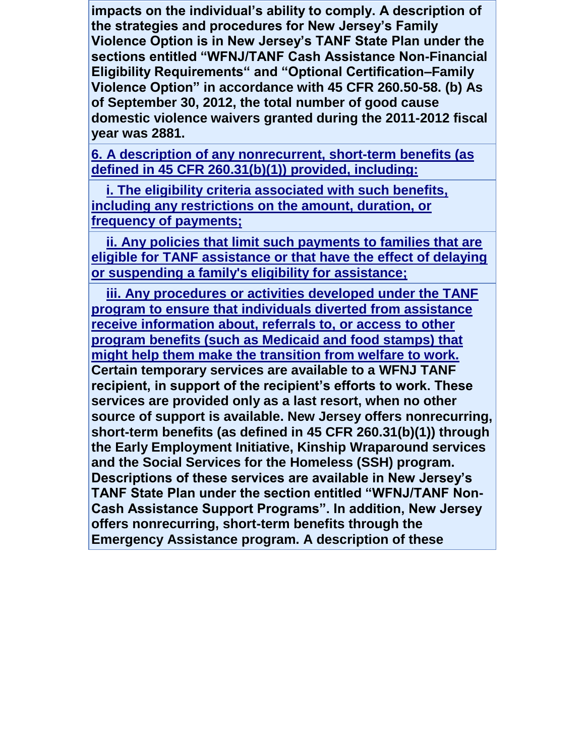**impacts on the individual's ability to comply. A description of the strategies and procedures for New Jersey's Family Violence Option is in New Jersey's TANF State Plan under the sections entitled "WFNJ/TANF Cash Assistance Non-Financial Eligibility Requirements" and "Optional Certification–Family Violence Option" in accordance with 45 CFR 260.50-58. (b) As of September 30, 2012, the total number of good cause domestic violence waivers granted during the 2011-2012 fiscal year was 2881.**

**[6. A description of any nonrecurrent, short-term benefits \(as](javascript:alert()  [defined in 45 CFR 260.31\(b\)\(1\)\) provided, including:](javascript:alert()**

 **[i. The eligibility criteria associated with such benefits,](javascript:alert()  [including any restrictions on the amount, duration, or](javascript:alert()  [frequency of payments;](javascript:alert()**

 **[ii. Any policies that limit such payments to families that are](javascript:alert()  eligible for [TANF assistance or that have the effect of delaying](javascript:alert()  [or suspending a family's eligibility for assistance;](javascript:alert()**

 **[iii. Any procedures or activities developed under the TANF](javascript:alert()  [program to ensure that individuals diverted from assistance](javascript:alert()  [receive information about, referrals to, or access to other](javascript:alert()  [program benefits \(such as Medicaid and food stamps\) that](javascript:alert()  [might help them make the transition from welfare to work.](javascript:alert() Certain temporary services are available to a WFNJ TANF recipient, in support of the recipient's efforts to work. These services are provided only as a last resort, when no other source of support is available. New Jersey offers nonrecurring, short-term benefits (as defined in 45 CFR 260.31(b)(1)) through the Early Employment Initiative, Kinship Wraparound services and the Social Services for the Homeless (SSH) program. Descriptions of these services are available in New Jersey's TANF State Plan under the section entitled "WFNJ/TANF Non-Cash Assistance Support Programs". In addition, New Jersey offers nonrecurring, short-term benefits through the Emergency Assistance program. A description of these**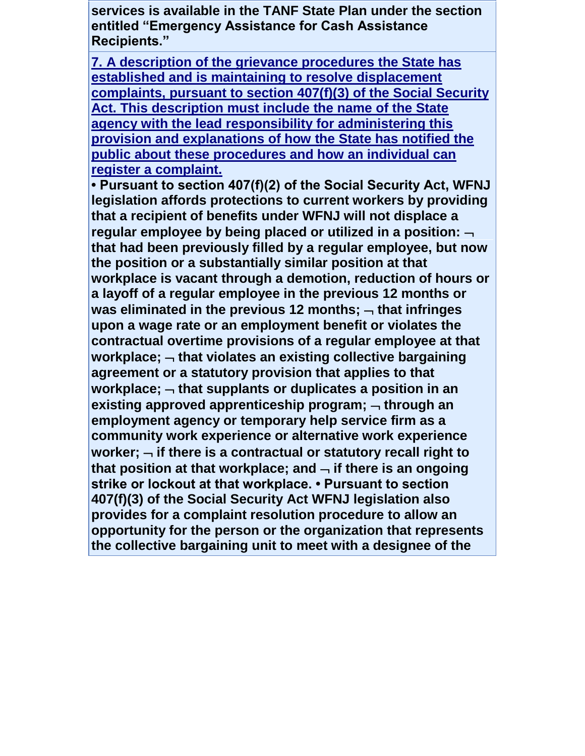**services is available in the TANF State Plan under the section entitled "Emergency Assistance for Cash Assistance Recipients."**

**[7. A description of the grievance procedures the State has](javascript:alert()  [established and is maintaining to resolve displacement](javascript:alert()  [complaints, pursuant to section 407\(f\)\(3\) of the Social Security](javascript:alert()  [Act. This description must include the name of the State](javascript:alert() [agency with the lead responsibility for administering this](javascript:alert()  [provision and explanations of how the State has notified the](javascript:alert()  [public about these procedures and how an individual can](javascript:alert()  [register a complaint.](javascript:alert()**

**• Pursuant to section 407(f)(2) of the Social Security Act, WFNJ legislation affords protections to current workers by providing that a recipient of benefits under WFNJ will not displace a regular employee by being placed or utilized in a position: that had been previously filled by a regular employee, but now the position or a substantially similar position at that workplace is vacant through a demotion, reduction of hours or a layoff of a regular employee in the previous 12 months or was eliminated in the previous 12 months;**  $\rightarrow$  **that infringes upon a wage rate or an employment benefit or violates the contractual overtime provisions of a regular employee at that**  workplace;  $\lnot$  that violates an existing collective bargaining **agreement or a statutory provision that applies to that**  workplace;  $\rightarrow$  that supplants or duplicates a position in an **existing approved apprenticeship program; through an employment agency or temporary help service firm as a community work experience or alternative work experience**  worker;  $\lnot$  if there is a contractual or statutory recall right to that position at that workplace; and  $\overline{\phantom{a}}$  if there is an ongoing **strike or lockout at that workplace. • Pursuant to section 407(f)(3) of the Social Security Act WFNJ legislation also provides for a complaint resolution procedure to allow an opportunity for the person or the organization that represents the collective bargaining unit to meet with a designee of the**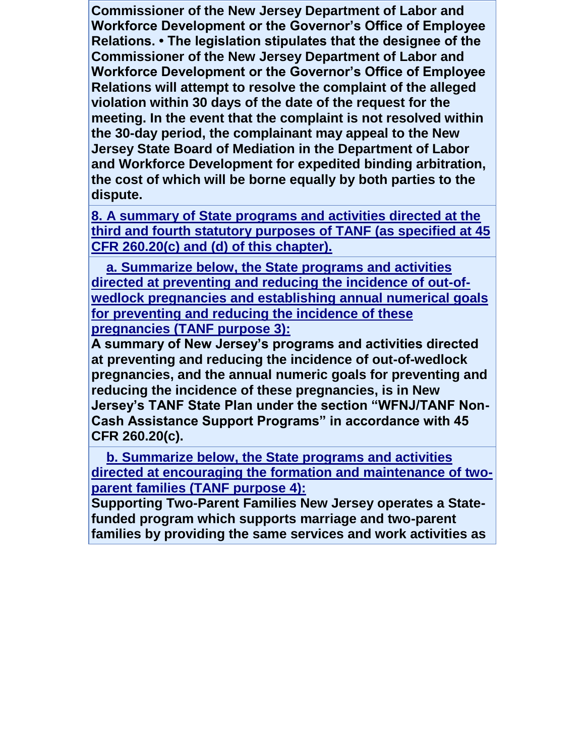**Commissioner of the New Jersey Department of Labor and Workforce Development or the Governor's Office of Employee Relations. • The legislation stipulates that the designee of the Commissioner of the New Jersey Department of Labor and Workforce Development or the Governor's Office of Employee Relations will attempt to resolve the complaint of the alleged violation within 30 days of the date of the request for the meeting. In the event that the complaint is not resolved within the 30-day period, the complainant may appeal to the New Jersey State Board of Mediation in the Department of Labor and Workforce Development for expedited binding arbitration, the cost of which will be borne equally by both parties to the dispute.**

**[8. A summary of State programs and activities directed at the](javascript:alert()  [third and fourth statutory purposes of TANF \(as specified at 45](javascript:alert()  [CFR 260.20\(c\) and \(d\) of this chapter\).](javascript:alert()**

 **[a. Summarize below, the State programs and activities](javascript:alert()  [directed at preventing and reducing the incidence of out-of](javascript:alert()[wedlock pregnancies and establishing annual numerical goals](javascript:alert()  [for preventing and reducing the incidence of these](javascript:alert()  [pregnancies \(TANF purpose 3\):](javascript:alert()**

**A summary of New Jersey's programs and activities directed at preventing and reducing the incidence of out-of-wedlock pregnancies, and the annual numeric goals for preventing and reducing the incidence of these pregnancies, is in New Jersey's TANF State Plan under the section "WFNJ/TANF Non-Cash Assistance Support Programs" in accordance with 45 CFR 260.20(c).**

 **[b. Summarize below, the State programs and activities](javascript:alert()  [directed at encouraging the formation and maintenance of two](javascript:alert()[parent families \(TANF purpose 4\):](javascript:alert()**

**Supporting Two-Parent Families New Jersey operates a Statefunded program which supports marriage and two-parent families by providing the same services and work activities as**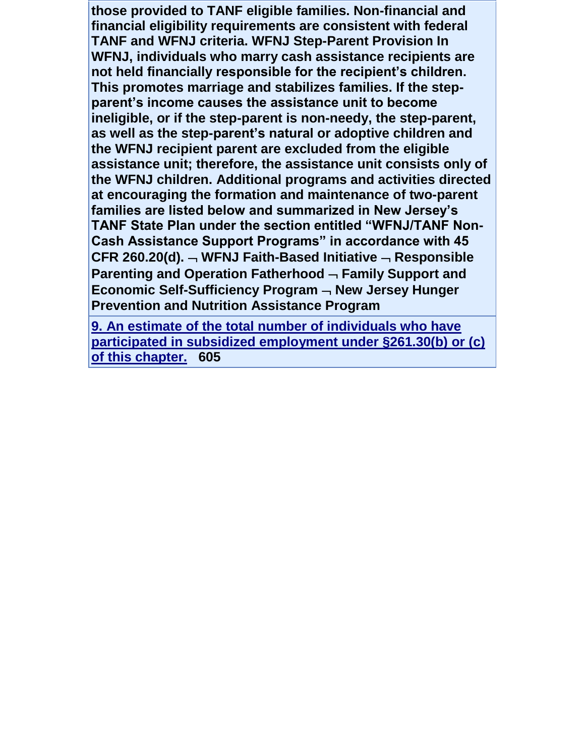**those provided to TANF eligible families. Non-financial and financial eligibility requirements are consistent with federal TANF and WFNJ criteria. WFNJ Step-Parent Provision In WFNJ, individuals who marry cash assistance recipients are not held financially responsible for the recipient's children. This promotes marriage and stabilizes families. If the stepparent's income causes the assistance unit to become ineligible, or if the step-parent is non-needy, the step-parent, as well as the step-parent's natural or adoptive children and the WFNJ recipient parent are excluded from the eligible assistance unit; therefore, the assistance unit consists only of the WFNJ children. Additional programs and activities directed at encouraging the formation and maintenance of two-parent families are listed below and summarized in New Jersey's TANF State Plan under the section entitled "WFNJ/TANF Non-Cash Assistance Support Programs" in accordance with 45 CFR 260.20(d). WFNJ Faith-Based Initiative Responsible Parenting and Operation Fatherhood Family Support and**  Economic Self-Sufficiency Program  $\rightarrow$  New Jersey Hunger **Prevention and Nutrition Assistance Program**

**[9. An estimate of the total number of individuals who have](javascript:alert()  [participated in subsidized employment under §261.30\(b\) or \(c\)](javascript:alert()  [of this chapter.](javascript:alert() 605**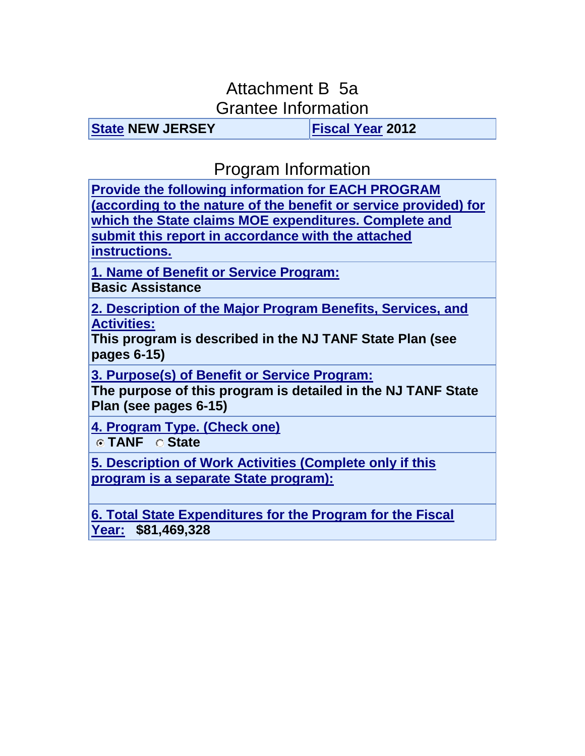# Attachment B 5a

Grantee Information

**[State](javascript:alert() NEW JERSEY [Fiscal Year](javascript:alert() 2012**

### Program Information

**[Provide the following information for EACH PROGRAM](javascript:alert()  [\(according to the nature of the benefit or service provided\) for](javascript:alert()  [which the State claims MOE expenditures. Complete and](javascript:alert()  [submit this report in accordance with the attached](javascript:alert()  [instructions.](javascript:alert()**

**1. Name of Benefit or Service Program: Basic Assistance**

**[2. Description of the Major Program Benefits, Services, and](javascript:alert()  [Activities:](javascript:alert()**

**This program is described in the NJ TANF State Plan (see pages 6-15)**

**[3. Purpose\(s\) of Benefit or Service Program:](javascript:alert()**

**The purpose of this program is detailed in the NJ TANF State Plan (see pages 6-15)**

**[4. Program Type. \(Check one\)](javascript:alert()**

**TANF State** 

**5. Description of Work Activities (Complete only if this program is a separate State program):**

**[6. Total State Expenditures for the Program for the Fiscal](javascript:alert()  [Year:](javascript:alert() \$81,469,328**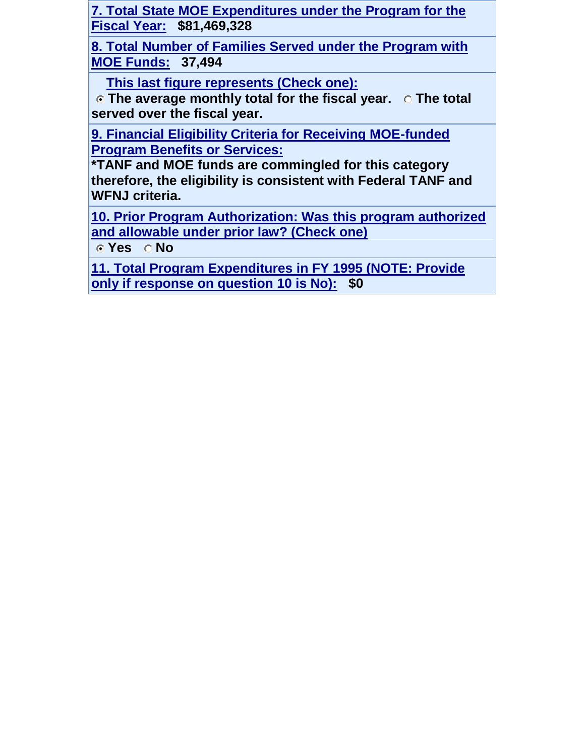**7. Total State MOE Expenditures under the Program for the Fiscal Year: \$81,469,328**

**8. Total Number of Families Served under the Program with MOE Funds: 37,494**

 **This last figure represents (Check one):**

**The average monthly total for the fiscal year. The total served over the fiscal year.** 

**9. Financial Eligibility Criteria for Receiving MOE-funded Program Benefits or Services:**

**\*TANF and MOE funds are commingled for this category therefore, the eligibility is consistent with Federal TANF and WFNJ criteria.**

**[10. Prior Program Authorization: Was this program authorized](javascript:alert()  [and allowable under prior law? \(Check one\)](javascript:alert()**

**Yes No**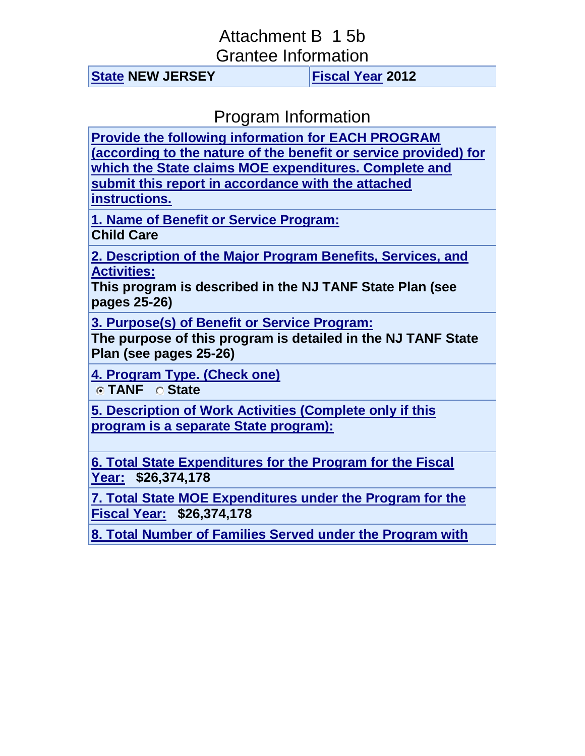# Attachment B 1 5b

Grantee Information

**[State](javascript:alert() NEW JERSEY [Fiscal Year](javascript:alert() 2012**

#### Program Information

**[Provide the following information for EACH PROGRAM](javascript:alert()  [\(according to the nature of the benefit or service provided\) for](javascript:alert()  [which the State claims MOE expenditures. Complete and](javascript:alert()  [submit this report in accordance with the attached](javascript:alert()  [instructions.](javascript:alert()**

**1. Name of Benefit or Service Program: Child Care**

**[2. Description of the Major Program Benefits, Services, and](javascript:alert()  [Activities:](javascript:alert()**

**This program is described in the NJ TANF State Plan (see pages 25-26)**

**[3. Purpose\(s\) of Benefit or Service Program:](javascript:alert()**

**The purpose of this program is detailed in the NJ TANF State Plan (see pages 25-26)**

**[4. Program Type. \(Check one\)](javascript:alert()**

**TANF State** 

**5. Description of Work Activities (Complete only if this program is a separate State program):**

**[6. Total State Expenditures for the Program for the Fiscal](javascript:alert()  [Year:](javascript:alert() \$26,374,178**

**7. Total State MOE Expenditures under the Program for the Fiscal Year: \$26,374,178**

**8. Total Number of Families Served under the Program with**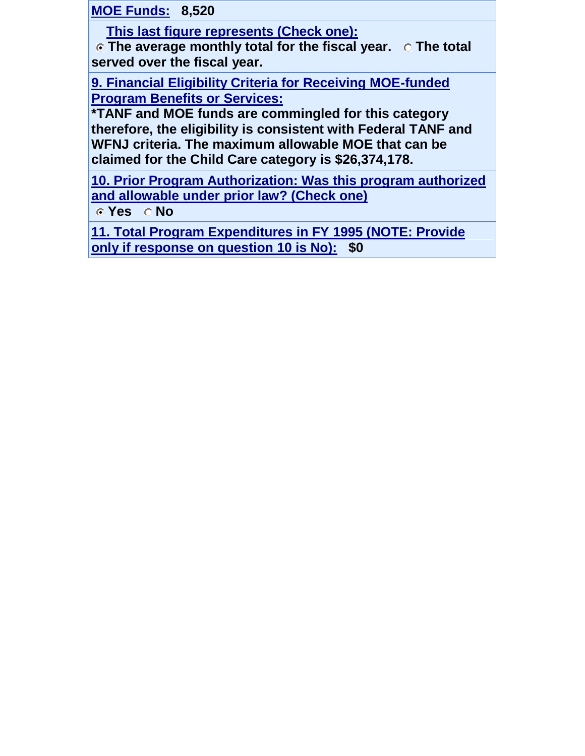**MOE Funds: 8,520**

 **This last figure represents (Check one):**

**The average monthly total for the fiscal year. The total served over the fiscal year.** 

**9. Financial Eligibility Criteria for Receiving MOE-funded Program Benefits or Services:**

**\*TANF and MOE funds are commingled for this category therefore, the eligibility is consistent with Federal TANF and WFNJ criteria. The maximum allowable MOE that can be claimed for the Child Care category is \$26,374,178.**

**[10. Prior Program Authorization: Was this program authorized](javascript:alert()  [and allowable under prior law? \(Check one\)](javascript:alert()**

**Yes No**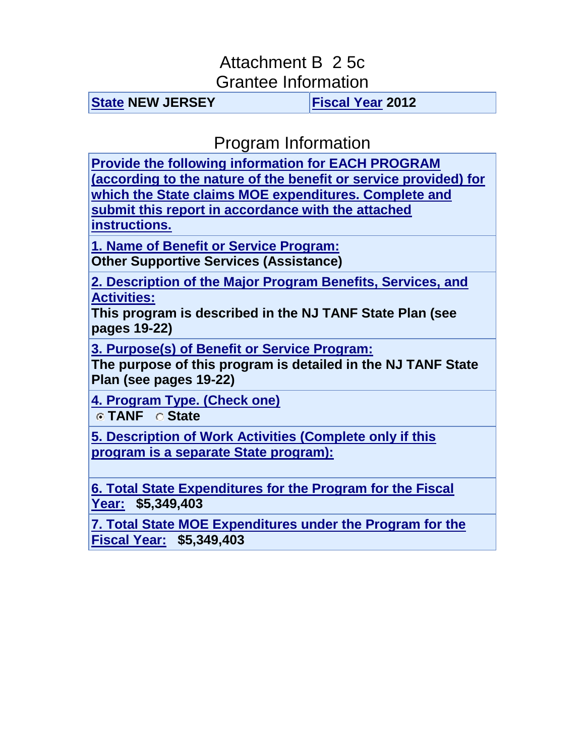#### Attachment B 2 5c Grantee Information

**[State](javascript:alert() NEW JERSEY [Fiscal Year](javascript:alert() 2012**

Program Information

**[Provide the following information for EACH PROGRAM](javascript:alert()  [\(according to the nature of the benefit or service provided\) for](javascript:alert()  [which the State claims MOE expenditures. Complete and](javascript:alert()  [submit this report in accordance with the attached](javascript:alert()  [instructions.](javascript:alert()**

**1. Name of Benefit or Service Program: Other Supportive Services (Assistance)**

**[2. Description of the Major Program Benefits, Services, and](javascript:alert()  [Activities:](javascript:alert()**

**This program is described in the NJ TANF State Plan (see pages 19-22)**

**[3. Purpose\(s\) of Benefit or Service Program:](javascript:alert()**

**The purpose of this program is detailed in the NJ TANF State Plan (see pages 19-22)**

**[4. Program Type. \(Check one\)](javascript:alert()**

**TANF State** 

**5. Description of Work Activities (Complete only if this program is a separate State program):**

**[6. Total State Expenditures for the Program for the Fiscal](javascript:alert()  [Year:](javascript:alert() \$5,349,403**

**7. Total State MOE Expenditures under the Program for the Fiscal Year: \$5,349,403**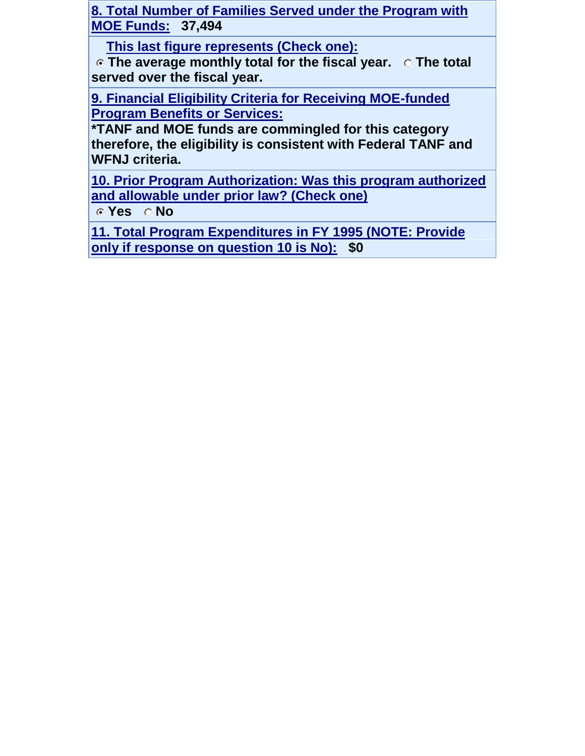**8. Total Number of Families Served under the Program with MOE Funds: 37,494**

 **This last figure represents (Check one):**

**The average monthly total for the fiscal year.** C The total **served over the fiscal year.** 

**9. Financial Eligibility Criteria for Receiving MOE-funded Program Benefits or Services:**

**\*TANF and MOE funds are commingled for this category therefore, the eligibility is consistent with Federal TANF and WFNJ criteria.**

**[10. Prior Program Authorization: Was this program authorized](javascript:alert()  [and allowable under prior law? \(Check one\)](javascript:alert()**

**Yes No**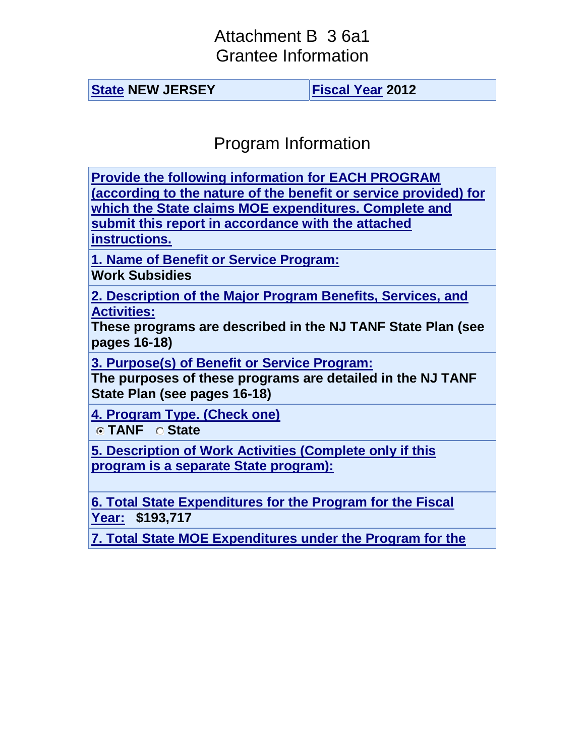#### Attachment B 3 6a1 Grantee Information

**[State](javascript:alert() NEW JERSEY [Fiscal Year](javascript:alert() 2012**

Program Information

**[Provide the following information for EACH PROGRAM](javascript:alert()  [\(according to the nature of the benefit or service provided\) for](javascript:alert()  [which the State claims MOE expenditures. Complete and](javascript:alert()  [submit this report in accordance with the attached](javascript:alert()  [instructions.](javascript:alert() 1. Name of Benefit or Service Program: Work Subsidies [2. Description of the Major Program Benefits, Services, and](javascript:alert()  [Activities:](javascript:alert() These programs are described in the NJ TANF State Plan (see pages 16-18) [3. Purpose\(s\) of Benefit or Service Program:](javascript:alert() The purposes of these programs are detailed in the NJ TANF State Plan (see pages 16-18) [4. Program Type. \(Check one\)](javascript:alert() TANF State 5. Description of Work Activities (Complete only if this program is a separate State program): [6. Total State Expenditures for the Program for the Fiscal](javascript:alert()  [Year:](javascript:alert() \$193,717**

**7. Total State MOE Expenditures under the Program for the**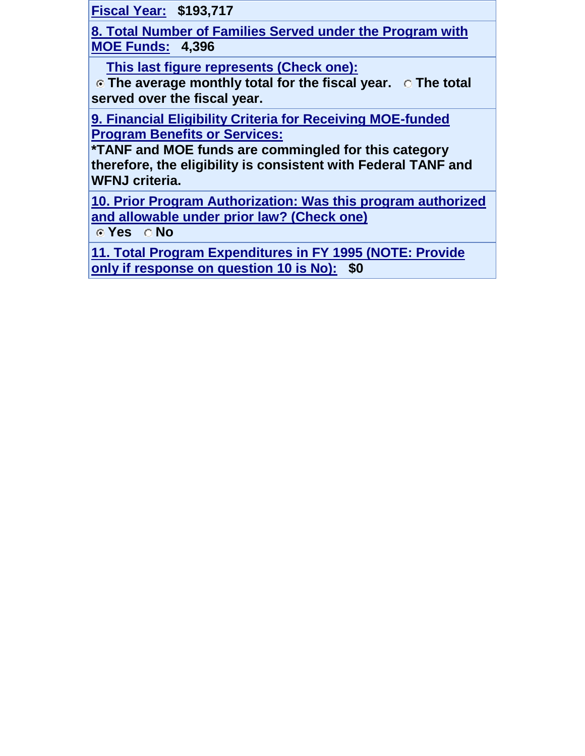**Fiscal Year: \$193,717**

**8. Total Number of Families Served under the Program with MOE Funds: 4,396**

 **This last figure represents (Check one):**

**The average monthly total for the fiscal year.** C The total **served over the fiscal year.** 

**9. Financial Eligibility Criteria for Receiving MOE-funded Program Benefits or Services:**

**\*TANF and MOE funds are commingled for this category therefore, the eligibility is consistent with Federal TANF and WFNJ criteria.**

**[10. Prior Program Authorization: Was this program authorized](javascript:alert()  [and allowable under prior law? \(Check one\)](javascript:alert()**

**Yes No**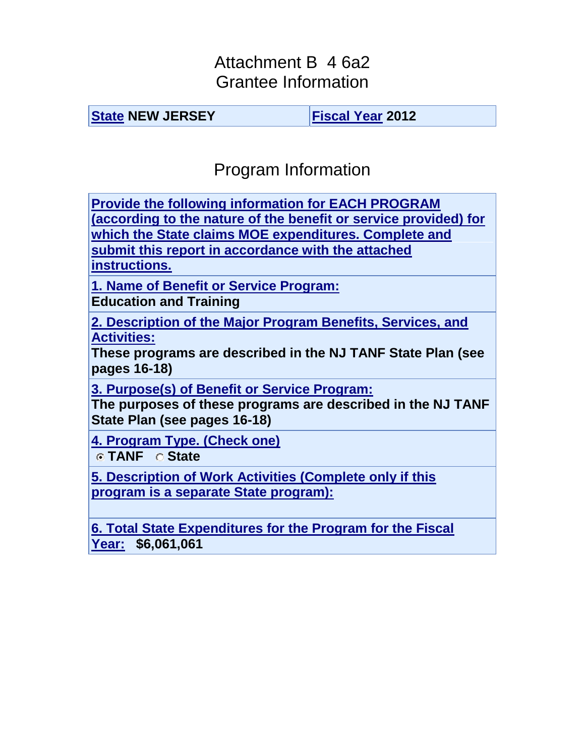#### Attachment B 4 6a2 Grantee Information

**[State](javascript:alert() NEW JERSEY [Fiscal Year](javascript:alert() 2012**

# Program Information

**[Provide the following information for EACH PROGRAM](javascript:alert()  [\(according to the nature of the benefit or service provided\) for](javascript:alert()  [which the State claims MOE expenditures. Complete and](javascript:alert()  [submit this report in accordance with the attached](javascript:alert()  [instructions.](javascript:alert()**

**1. Name of Benefit or Service Program: Education and Training**

**[2. Description of the Major Program Benefits, Services, and](javascript:alert()  [Activities:](javascript:alert()**

**These programs are described in the NJ TANF State Plan (see pages 16-18)**

**[3. Purpose\(s\) of Benefit or Service Program:](javascript:alert()**

**The purposes of these programs are described in the NJ TANF State Plan (see pages 16-18)**

**[4. Program Type. \(Check one\)](javascript:alert()**

**TANF State** 

**5. Description of Work Activities (Complete only if this program is a separate State program):**

**[6. Total State Expenditures for the Program for the Fiscal](javascript:alert()  [Year:](javascript:alert() \$6,061,061**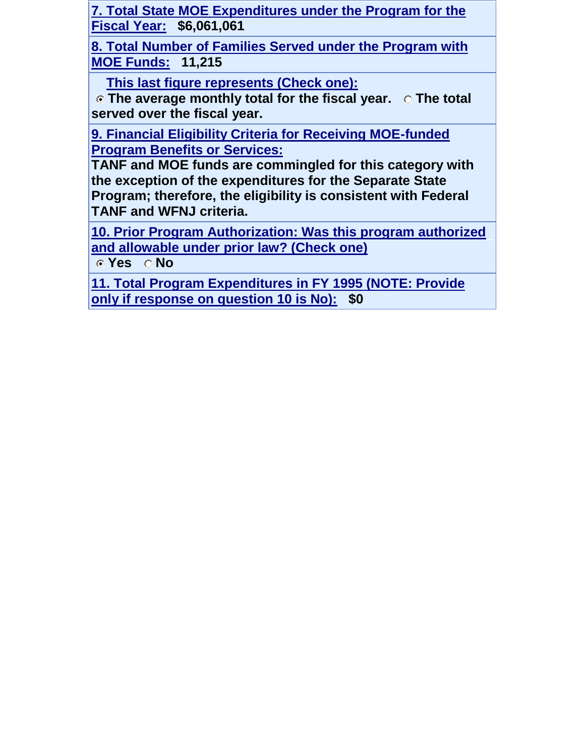**7. Total State MOE Expenditures under the Program for the Fiscal Year: \$6,061,061**

**8. Total Number of Families Served under the Program with MOE Funds: 11,215**

 **This last figure represents (Check one):**

**The average monthly total for the fiscal year. The total served over the fiscal year.** 

**9. Financial Eligibility Criteria for Receiving MOE-funded Program Benefits or Services:**

**TANF and MOE funds are commingled for this category with the exception of the expenditures for the Separate State Program; therefore, the eligibility is consistent with Federal TANF and WFNJ criteria.**

**[10. Prior Program Authorization: Was this program authorized](javascript:alert()  [and allowable under prior law? \(Check one\)](javascript:alert()**

**Yes No**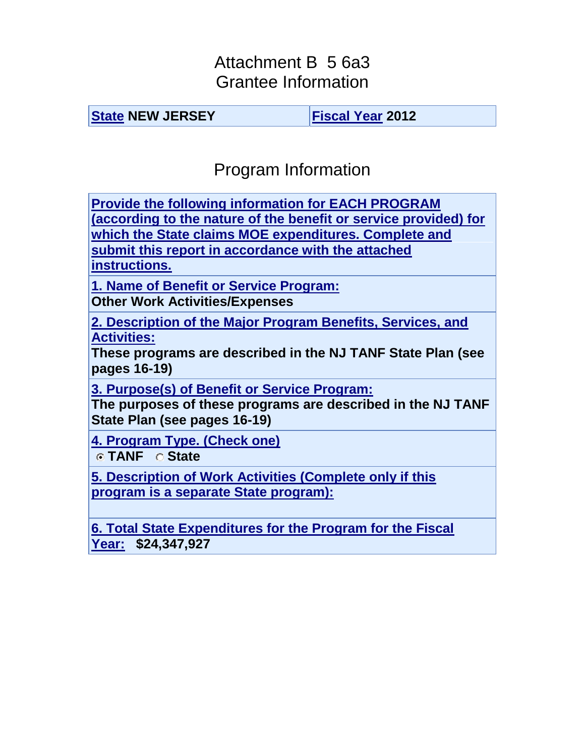#### Attachment B 5 6a3 Grantee Information

**[State](javascript:alert() NEW JERSEY [Fiscal Year](javascript:alert() 2012**

# Program Information

**[Provide the following information for EACH PROGRAM](javascript:alert()  [\(according to the nature of the benefit or service provided\) for](javascript:alert()  [which the State claims MOE expenditures. Complete and](javascript:alert()  [submit this report in accordance with the attached](javascript:alert()  [instructions.](javascript:alert()**

**1. Name of Benefit or Service Program: Other Work Activities/Expenses**

**[2. Description of the Major Program Benefits, Services, and](javascript:alert()  [Activities:](javascript:alert()**

**These programs are described in the NJ TANF State Plan (see pages 16-19)**

**[3. Purpose\(s\) of Benefit or Service Program:](javascript:alert()**

**The purposes of these programs are described in the NJ TANF State Plan (see pages 16-19)**

**[4. Program Type. \(Check one\)](javascript:alert()**

**TANF State** 

**5. Description of Work Activities (Complete only if this program is a separate State program):**

**[6. Total State Expenditures for the Program for the Fiscal](javascript:alert()  [Year:](javascript:alert() \$24,347,927**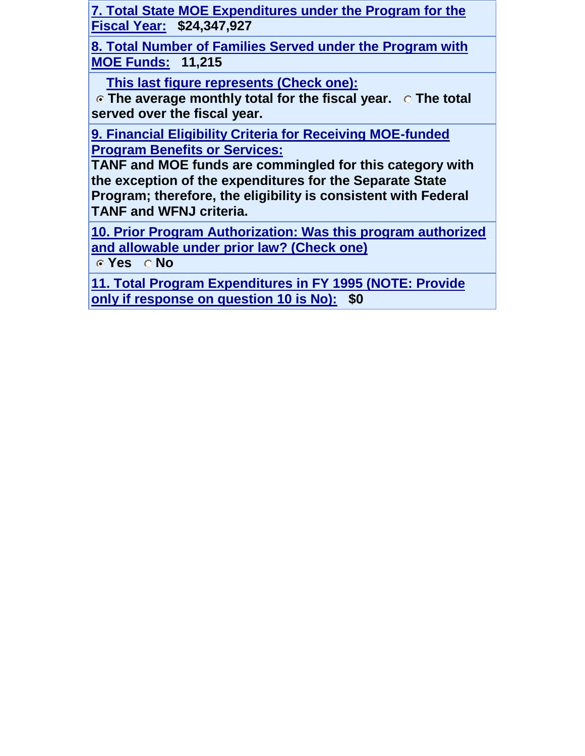**7. Total State MOE Expenditures under the Program for the Fiscal Year: \$24,347,927**

**8. Total Number of Families Served under the Program with MOE Funds: 11,215**

 **This last figure represents (Check one):**

**The average monthly total for the fiscal year. The total served over the fiscal year.** 

**9. Financial Eligibility Criteria for Receiving MOE-funded Program Benefits or Services:**

**TANF and MOE funds are commingled for this category with the exception of the expenditures for the Separate State Program; therefore, the eligibility is consistent with Federal TANF and WFNJ criteria.**

**[10. Prior Program Authorization: Was this program authorized](javascript:alert()  [and allowable under prior law? \(Check one\)](javascript:alert()**

**Yes No**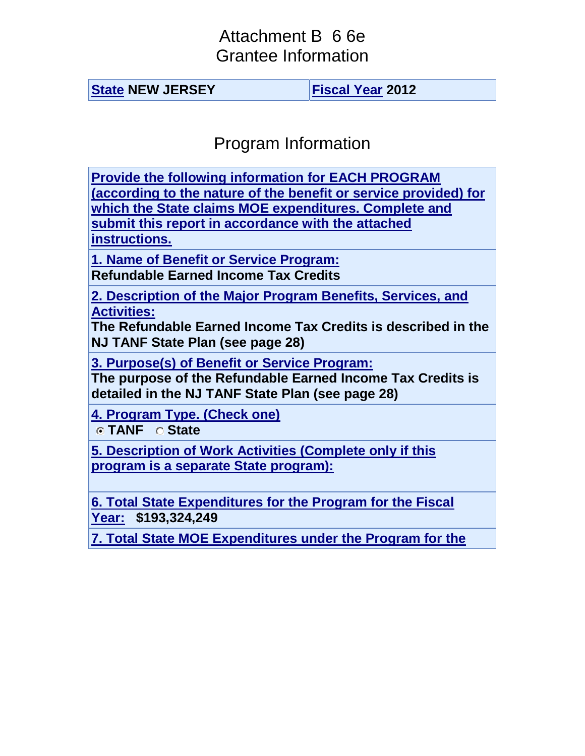#### Attachment B 6 6e Grantee Information

**[State](javascript:alert() NEW JERSEY [Fiscal Year](javascript:alert() 2012**

Program Information

**[Provide the following information for EACH PROGRAM](javascript:alert()  [\(according to the nature of the benefit or service provided\) for](javascript:alert()  [which the State claims MOE expenditures. Complete and](javascript:alert()  [submit this report in accordance with the attached](javascript:alert()  [instructions.](javascript:alert() 1. Name of Benefit or Service Program: Refundable Earned Income Tax Credits [2. Description of the Major Program Benefits, Services, and](javascript:alert()  [Activities:](javascript:alert() The Refundable Earned Income Tax Credits is described in the NJ TANF State Plan (see page 28) [3. Purpose\(s\) of Benefit or Service Program:](javascript:alert() The purpose of the Refundable Earned Income Tax Credits is detailed in the NJ TANF State Plan (see page 28) [4. Program Type. \(Check one\)](javascript:alert() TANF State 5. Description of Work Activities (Complete only if this program is a separate State program): [6. Total State Expenditures for the Program for the Fiscal](javascript:alert()  [Year:](javascript:alert() \$193,324,249 7. Total State MOE Expenditures under the Program for the**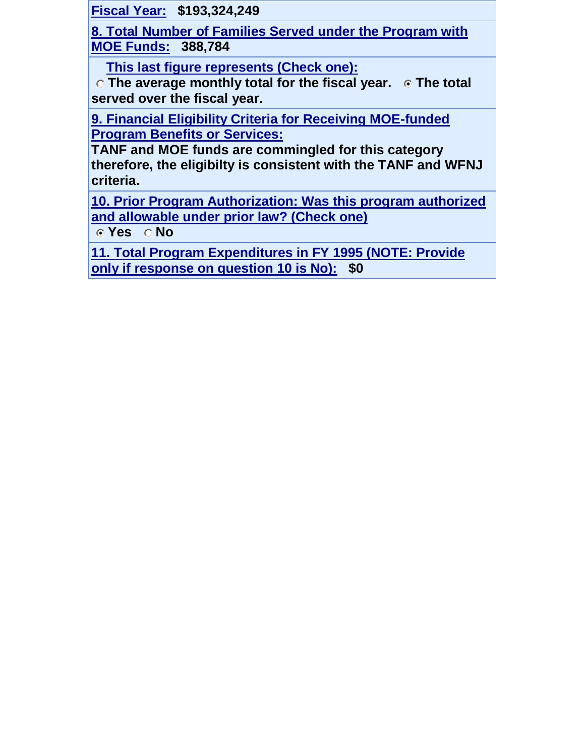**Fiscal Year: \$193,324,249**

**8. Total Number of Families Served under the Program with MOE Funds: 388,784**

 **This last figure represents (Check one):**

**The average monthly total for the fiscal year. 
<b>The total served over the fiscal year.** 

**9. Financial Eligibility Criteria for Receiving MOE-funded Program Benefits or Services:**

**TANF and MOE funds are commingled for this category therefore, the eligibilty is consistent with the TANF and WFNJ criteria.**

**[10. Prior Program Authorization: Was this program authorized](javascript:alert()  [and allowable under prior law? \(Check one\)](javascript:alert()**

**Yes No**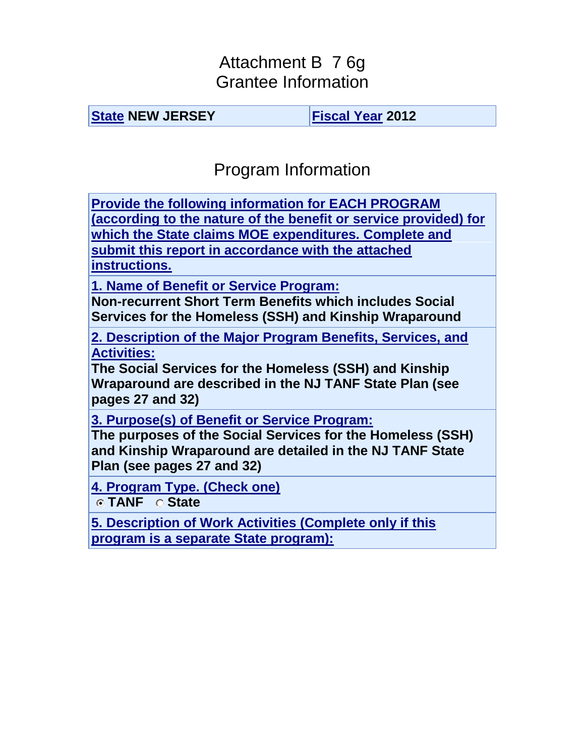#### Attachment B 7 6g Grantee Information

**[State](javascript:alert() NEW JERSEY [Fiscal Year](javascript:alert() 2012**

Program Information

**[Provide the following information for EACH PROGRAM](javascript:alert()  [\(according to the nature of the benefit or service provided\) for](javascript:alert()  [which the State claims MOE expenditures. Complete and](javascript:alert()  [submit this report in accordance with the attached](javascript:alert()  [instructions.](javascript:alert()**

**1. Name of Benefit or Service Program:**

**Non-recurrent Short Term Benefits which includes Social Services for the Homeless (SSH) and Kinship Wraparound**

**[2. Description of the Major Program Benefits, Services, and](javascript:alert()  [Activities:](javascript:alert()**

**The Social Services for the Homeless (SSH) and Kinship Wraparound are described in the NJ TANF State Plan (see pages 27 and 32)**

**[3. Purpose\(s\) of Benefit or Service Program:](javascript:alert()**

**The purposes of the Social Services for the Homeless (SSH) and Kinship Wraparound are detailed in the NJ TANF State Plan (see pages 27 and 32)**

**[4. Program Type. \(Check one\)](javascript:alert()**

**C** TANF **C** State

**5. Description of Work Activities (Complete only if this program is a separate State program):**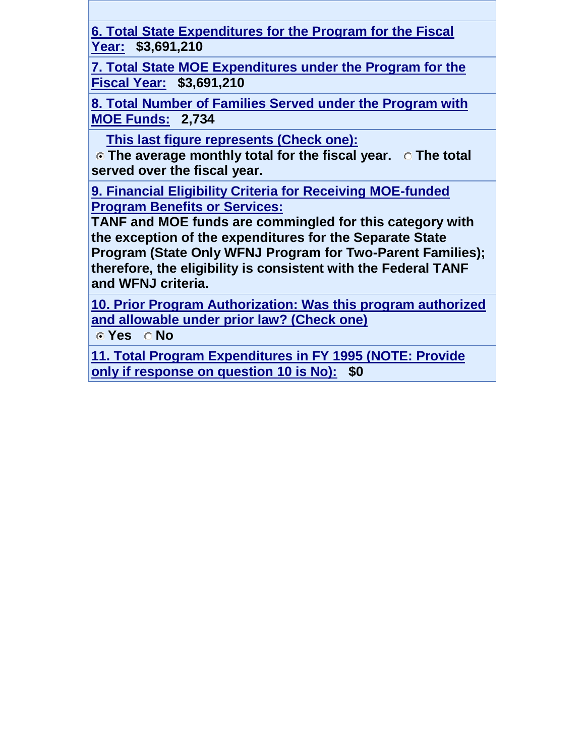**[6. Total State Expenditures for the Program for the Fiscal](javascript:alert()  [Year:](javascript:alert() \$3,691,210**

**7. Total State MOE Expenditures under the Program for the Fiscal Year: \$3,691,210**

**8. Total Number of Families Served under the Program with MOE Funds: 2,734**

 **This last figure represents (Check one):**

**The average monthly total for the fiscal year. The total served over the fiscal year.** 

**9. Financial Eligibility Criteria for Receiving MOE-funded Program Benefits or Services:**

**TANF and MOE funds are commingled for this category with the exception of the expenditures for the Separate State Program (State Only WFNJ Program for Two-Parent Families); therefore, the eligibility is consistent with the Federal TANF and WFNJ criteria.**

**[10. Prior Program Authorization: Was this program authorized](javascript:alert()  [and allowable under prior law? \(Check one\)](javascript:alert()**

**Yes No**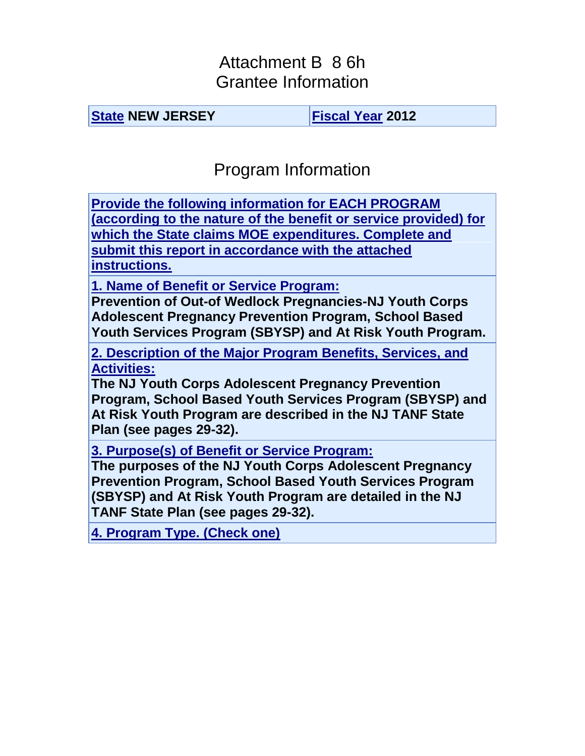#### Attachment B 8 6h Grantee Information

**[State](javascript:alert() NEW JERSEY [Fiscal Year](javascript:alert() 2012**

# Program Information

**[Provide the following information for EACH PROGRAM](javascript:alert()  [\(according to the nature of the benefit or service provided\) for](javascript:alert()  [which the State claims MOE expenditures. Complete and](javascript:alert()  [submit this report in accordance with the attached](javascript:alert()  [instructions.](javascript:alert()**

**1. Name of Benefit or Service Program:**

**Prevention of Out-of Wedlock Pregnancies-NJ Youth Corps Adolescent Pregnancy Prevention Program, School Based Youth Services Program (SBYSP) and At Risk Youth Program.**

**[2. Description of the Major Program](javascript:alert() Benefits, Services, and [Activities:](javascript:alert()**

**The NJ Youth Corps Adolescent Pregnancy Prevention Program, School Based Youth Services Program (SBYSP) and At Risk Youth Program are described in the NJ TANF State Plan (see pages 29-32).**

**[3. Purpose\(s\) of Benefit or Service Program:](javascript:alert()**

**The purposes of the NJ Youth Corps Adolescent Pregnancy Prevention Program, School Based Youth Services Program (SBYSP) and At Risk Youth Program are detailed in the NJ TANF State Plan (see pages 29-32).**

**[4. Program Type. \(Check one\)](javascript:alert()**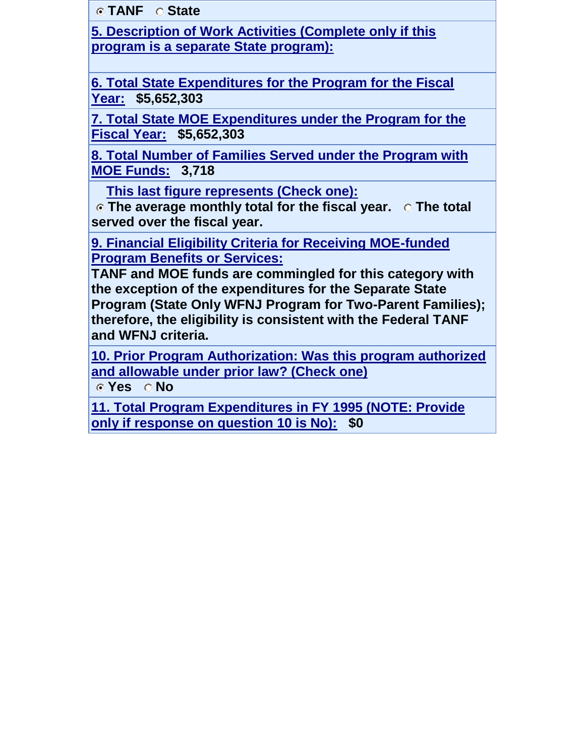**C** TANF **C** State

**5. Description of Work Activities (Complete only if this program is a separate State program):**

**[6. Total State Expenditures for the Program for the Fiscal](javascript:alert()  [Year:](javascript:alert() \$5,652,303**

**7. Total State MOE Expenditures under the Program for the Fiscal Year: \$5,652,303**

**8. Total Number of Families Served under the Program with MOE Funds: 3,718**

 **This last figure represents (Check one):**

**The average monthly total for the fiscal year. The total served over the fiscal year.** 

**9. Financial Eligibility Criteria for Receiving MOE-funded Program Benefits or Services:**

**TANF and MOE funds are commingled for this category with the exception of the expenditures for the Separate State Program (State Only WFNJ Program for Two-Parent Families); therefore, the eligibility is consistent with the Federal TANF and WFNJ criteria.**

**[10. Prior Program Authorization: Was this program authorized](javascript:alert()  [and allowable under prior law? \(Check one\)](javascript:alert()**

**Yes No**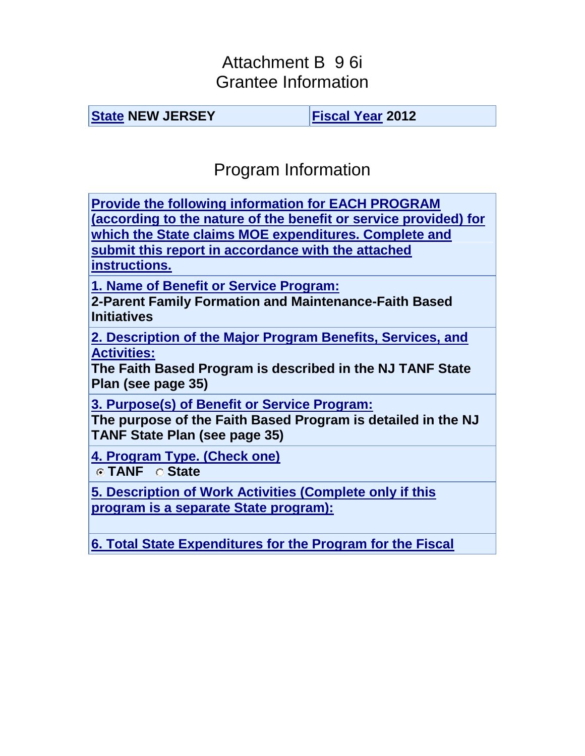#### Attachment B 9 6i Grantee Information

**[State](javascript:alert() NEW JERSEY [Fiscal Year](javascript:alert() 2012**

# Program Information

**[Provide the following information for EACH PROGRAM](javascript:alert()  [\(according to the nature of the benefit or service provided\) for](javascript:alert()  [which the State claims MOE expenditures. Complete and](javascript:alert()  [submit this report in accordance with the attached](javascript:alert()  [instructions.](javascript:alert()**

**1. Name of Benefit or Service Program:**

**2-Parent Family Formation and Maintenance-Faith Based Initiatives**

**[2. Description of the Major Program Benefits, Services, and](javascript:alert()  [Activities:](javascript:alert()**

**The Faith Based Program is described in the NJ TANF State Plan (see page 35)**

**[3. Purpose\(s\) of Benefit or Service Program:](javascript:alert() The purpose of the Faith Based Program is detailed in the NJ TANF State Plan (see page 35)**

**[4. Program Type. \(Check one\)](javascript:alert()**

**TANF State** 

**5. Description of Work Activities (Complete only if this program is a separate State program):**

**[6. Total State Expenditures for the Program for the Fiscal](javascript:alert()**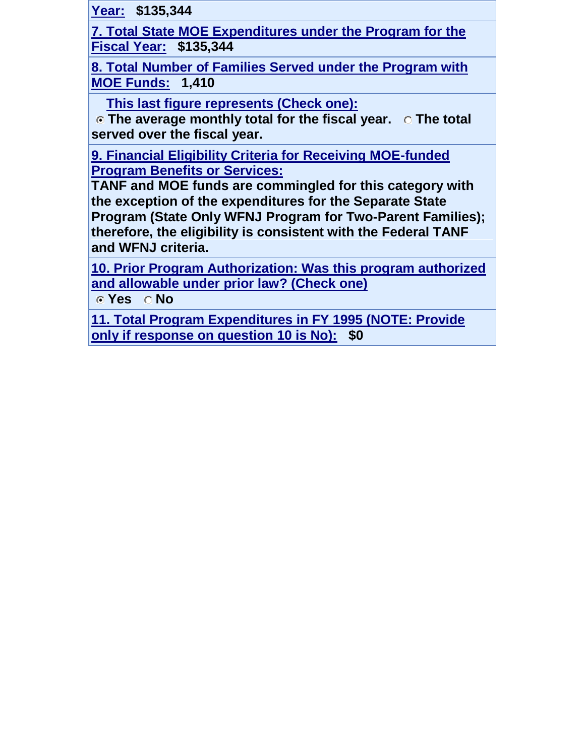**Year: \$135,344**

**7. Total State MOE Expenditures under the Program for the Fiscal Year: \$135,344**

**8. Total Number of Families Served under the Program with MOE Funds: 1,410**

 **This last figure represents (Check one):**

**The average monthly total for the fiscal year. The total served over the fiscal year.** 

**9. Financial Eligibility Criteria for Receiving MOE-funded Program Benefits or Services:**

**TANF and MOE funds are commingled for this category with the exception of the expenditures for the Separate State Program (State Only WFNJ Program for Two-Parent Families); therefore, the eligibility is consistent with the Federal TANF and WFNJ criteria.**

**[10. Prior Program Authorization: Was this program authorized](javascript:alert()  [and allowable under prior law? \(Check one\)](javascript:alert()**

**Example Structure Structure Structure Structure Structure Structure Structure Structure Structure Structure Structure Structure Structure Structure Structure Structure Structure Structure Structure Structure Structure Str**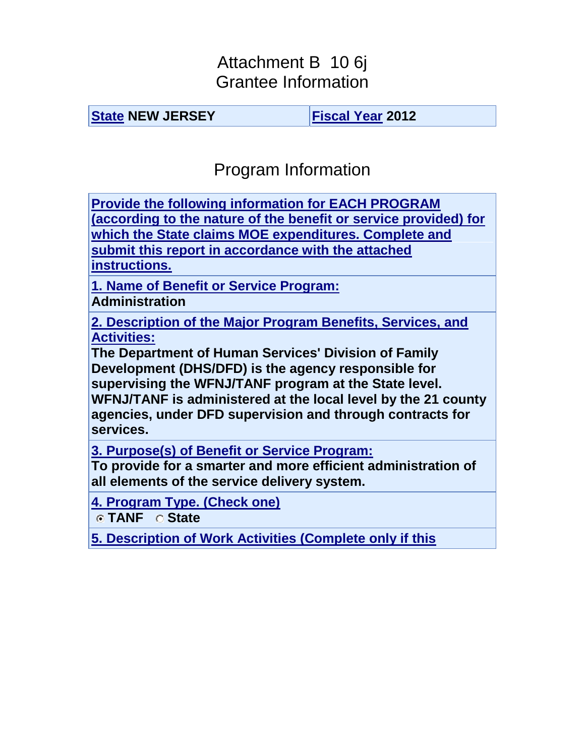#### Attachment B 10 6j Grantee Information

**[State](javascript:alert() NEW JERSEY [Fiscal Year](javascript:alert() 2012**

# Program Information

**[Provide the following information for EACH PROGRAM](javascript:alert()  [\(according to the nature of the benefit or service provided\) for](javascript:alert()  [which the State claims MOE expenditures. Complete and](javascript:alert()  [submit this report in accordance with the attached](javascript:alert()  [instructions.](javascript:alert()**

**1. Name of Benefit or Service Program:**

**Administration**

**[2. Description of the Major Program Benefits, Services, and](javascript:alert()  [Activities:](javascript:alert()**

**The Department of Human Services' Division of Family Development (DHS/DFD) is the agency responsible for supervising the WFNJ/TANF program at the State level. WFNJ/TANF is administered at the local level by the 21 county agencies, under DFD supervision and through contracts for services.**

**[3. Purpose\(s\) of Benefit or Service Program:](javascript:alert()**

**To provide for a smarter and more efficient administration of all elements of the service delivery system.**

**[4. Program Type. \(Check one\)](javascript:alert()**

**TANF State** 

**5. Description of Work Activities (Complete only if this**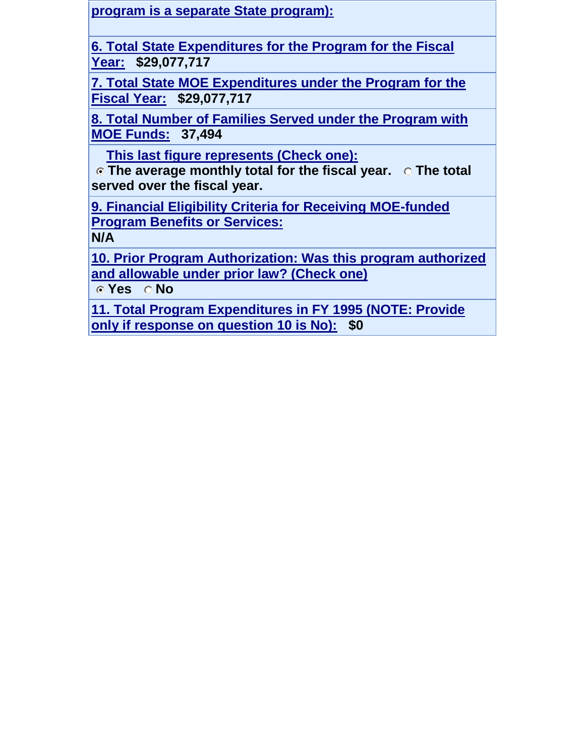**program is a separate State program):**

**[6. Total State Expenditures for the Program for the Fiscal](javascript:alert()  [Year:](javascript:alert() \$29,077,717**

**7. Total State MOE Expenditures under the Program for the Fiscal Year: \$29,077,717**

**8. Total Number of Families Served under the Program with MOE Funds: 37,494**

 **This last figure represents (Check one):**

**The average monthly total for the fiscal year. The total served over the fiscal year.** 

**9. Financial Eligibility Criteria for Receiving MOE-funded Program Benefits or Services:**

**N/A**

**[10. Prior Program Authorization: Was this program authorized](javascript:alert()  [and allowable under prior law? \(Check one\)](javascript:alert()**

**G** Yes **Q** No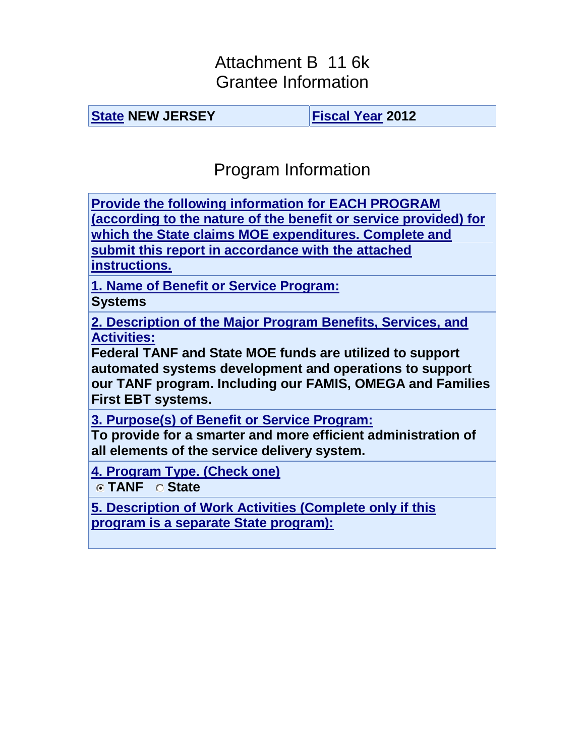#### Attachment B 11 6k Grantee Information

**[State](javascript:alert() NEW JERSEY [Fiscal Year](javascript:alert() 2012**

# Program Information

**[Provide the following information for EACH PROGRAM](javascript:alert()  [\(according to the nature of the benefit or service provided\) for](javascript:alert()  [which the State claims MOE expenditures. Complete and](javascript:alert()  [submit this report in accordance with the attached](javascript:alert()  [instructions.](javascript:alert()**

**1. Name of Benefit or Service Program:**

**Systems**

**[2. Description of the Major Program Benefits, Services, and](javascript:alert()  [Activities:](javascript:alert()**

**Federal TANF and State MOE funds are utilized to support automated systems development and operations to support our TANF program. Including our FAMIS, OMEGA and Families First EBT systems.**

**[3. Purpose\(s\) of Benefit or Service Program:](javascript:alert()**

**To provide for a smarter and more efficient administration of all elements of the service delivery system.**

**[4. Program Type. \(Check one\)](javascript:alert()**

**TANF State** 

**5. Description of Work Activities (Complete only if this program is a separate State program):**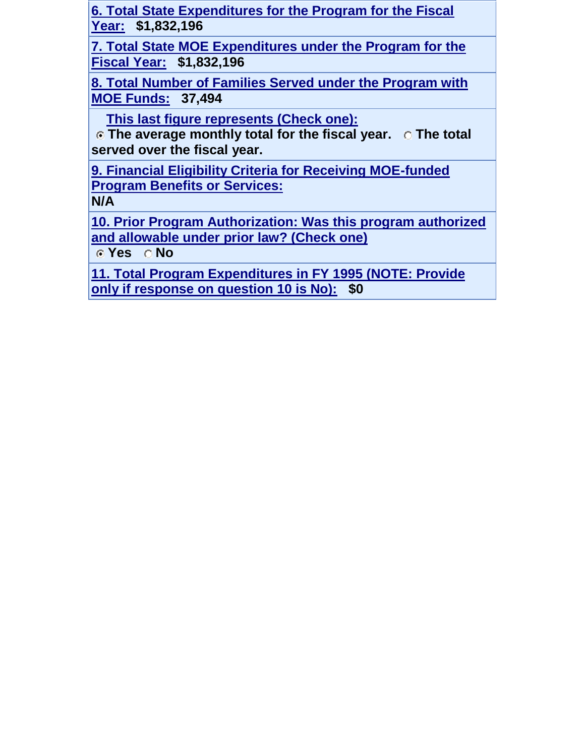**[6. Total State Expenditures for the Program for the Fiscal](javascript:alert()  [Year:](javascript:alert() \$1,832,196**

**7. Total State MOE Expenditures under the Program for the Fiscal Year: \$1,832,196**

**8. Total Number of Families Served under the Program with MOE Funds: 37,494**

 **This last figure represents (Check one):**

**The average monthly total for the fiscal year.** C The total **served over the fiscal year.** 

**9. Financial Eligibility Criteria for Receiving MOE-funded Program Benefits or Services: N/A**

**[10. Prior Program Authorization: Was this program authorized](javascript:alert()  [and allowable under prior law? \(Check one\)](javascript:alert()**

**&** Yes C No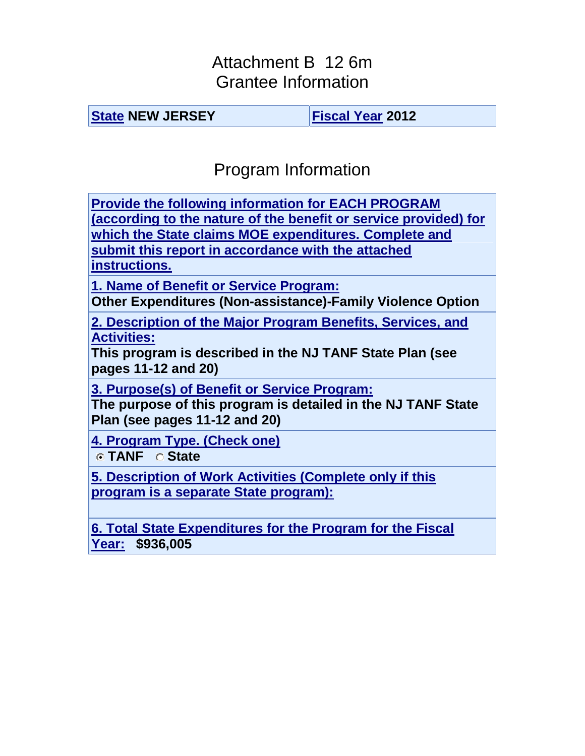#### Attachment B 12 6m Grantee Information

**[State](javascript:alert() NEW JERSEY [Fiscal Year](javascript:alert() 2012**

# Program Information

**[Provide the following information for EACH PROGRAM](javascript:alert()  [\(according to the nature of the benefit or service provided\) for](javascript:alert()  [which the State claims MOE expenditures. Complete and](javascript:alert()  [submit this report in accordance with the attached](javascript:alert()  [instructions.](javascript:alert()**

**1. Name of Benefit or Service Program:**

**Other Expenditures (Non-assistance)-Family Violence Option**

**[2. Description of the Major Program Benefits, Services, and](javascript:alert()  [Activities:](javascript:alert()**

**This program is described in the NJ TANF State Plan (see pages 11-12 and 20)**

**[3. Purpose\(s\) of Benefit or Service Program:](javascript:alert()**

**The purpose of this program is detailed in the NJ TANF State Plan (see pages 11-12 and 20)**

**[4. Program Type. \(Check one\)](javascript:alert()**

**TANF State** 

**5. Description of Work Activities (Complete only if this program is a separate State program):**

**[6. Total State Expenditures for the Program for the Fiscal](javascript:alert()  [Year:](javascript:alert() \$936,005**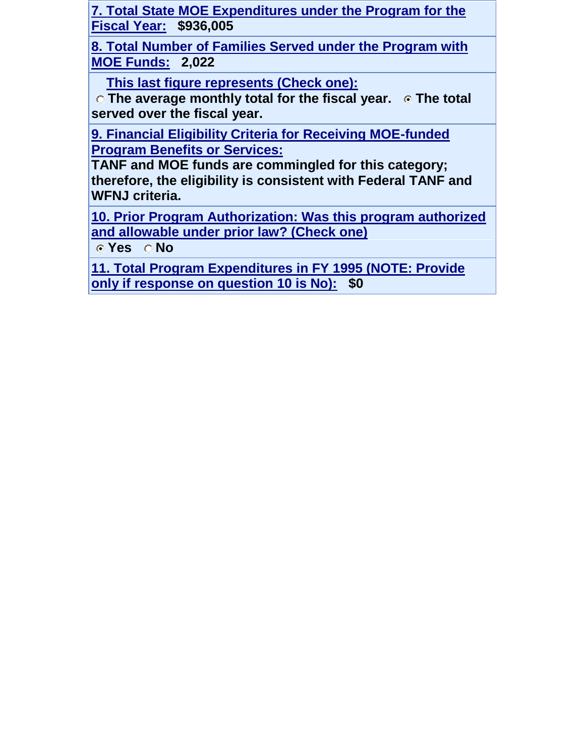**7. Total State MOE Expenditures under the Program for the Fiscal Year: \$936,005**

**8. Total Number of Families Served under the Program with MOE Funds: 2,022**

 **This last figure represents (Check one):**

**C** The average monthly total for the fiscal year. **C** The total **served over the fiscal year.** 

**9. Financial Eligibility Criteria for Receiving MOE-funded Program Benefits or Services:**

**TANF and MOE funds are commingled for this category; therefore, the eligibility is consistent with Federal TANF and WFNJ criteria.**

**[10. Prior Program Authorization: Was this program authorized](javascript:alert()  [and allowable under prior law? \(Check one\)](javascript:alert()**

**Yes No**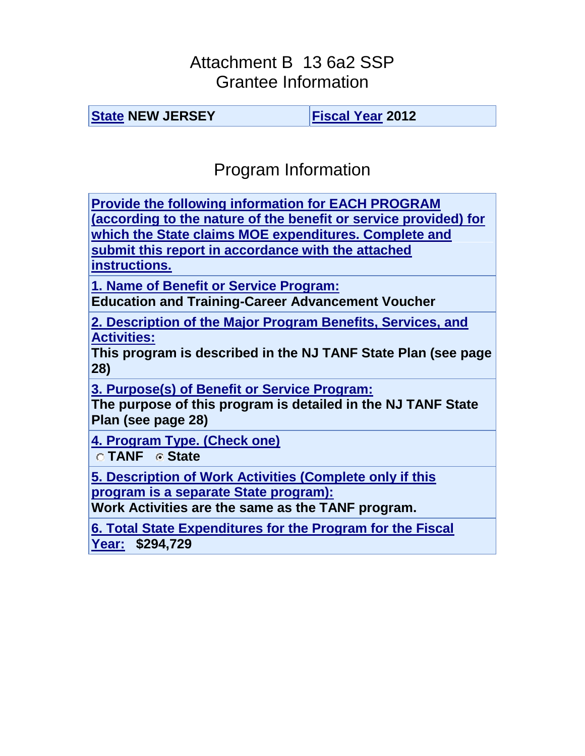### Attachment B 13 6a2 SSP Grantee Information

**[State](javascript:alert() NEW JERSEY [Fiscal Year](javascript:alert() 2012**

# Program Information

**[Provide the following information for EACH PROGRAM](javascript:alert()  [\(according to the nature of the benefit or service provided\) for](javascript:alert()  [which the State claims MOE expenditures. Complete and](javascript:alert()  [submit this report in accordance with the attached](javascript:alert()  [instructions.](javascript:alert()**

**1. Name of Benefit or Service Program:**

**Education and Training-Career Advancement Voucher**

**[2. Description of the Major Program Benefits, Services, and](javascript:alert()  [Activities:](javascript:alert()**

**This program is described in the NJ TANF State Plan (see page 28)**

**[3. Purpose\(s\) of Benefit or Service Program:](javascript:alert()**

**The purpose of this program is detailed in the NJ TANF State Plan (see page 28)**

**[4. Program Type. \(Check one\)](javascript:alert()**

**TANF State** 

**5. Description of Work Activities (Complete only if this program is a separate State program):**

**Work Activities are the same as the TANF program.**

**[6. Total State Expenditures for the Program for the Fiscal](javascript:alert()  [Year:](javascript:alert() \$294,729**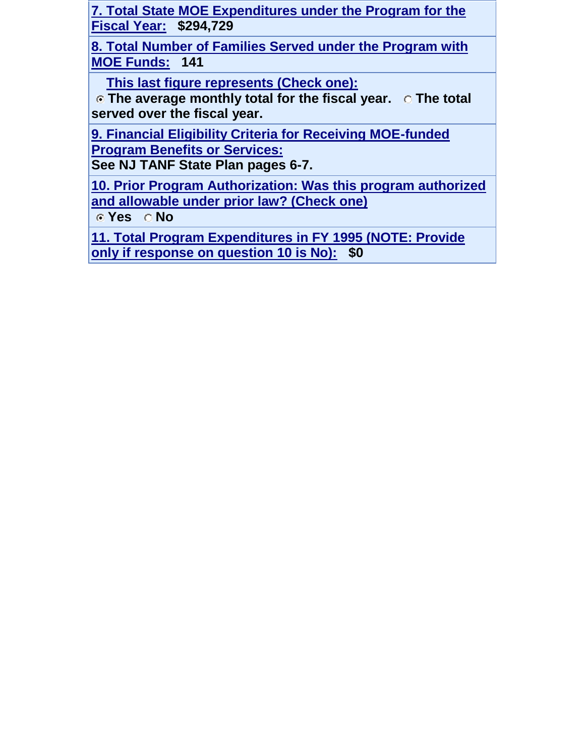**7. Total State MOE Expenditures under the Program for the Fiscal Year: \$294,729**

**8. Total Number of Families Served under the Program with MOE Funds: 141**

 **This last figure represents (Check one):**

**The average monthly total for the fiscal year. The total served over the fiscal year.** 

**9. Financial Eligibility Criteria for Receiving MOE-funded Program Benefits or Services:**

**See NJ TANF State Plan pages 6-7.**

**[10. Prior Program Authorization: Was this program authorized](javascript:alert()  [and allowable under prior law? \(Check one\)](javascript:alert()**

**G** Yes **Q** No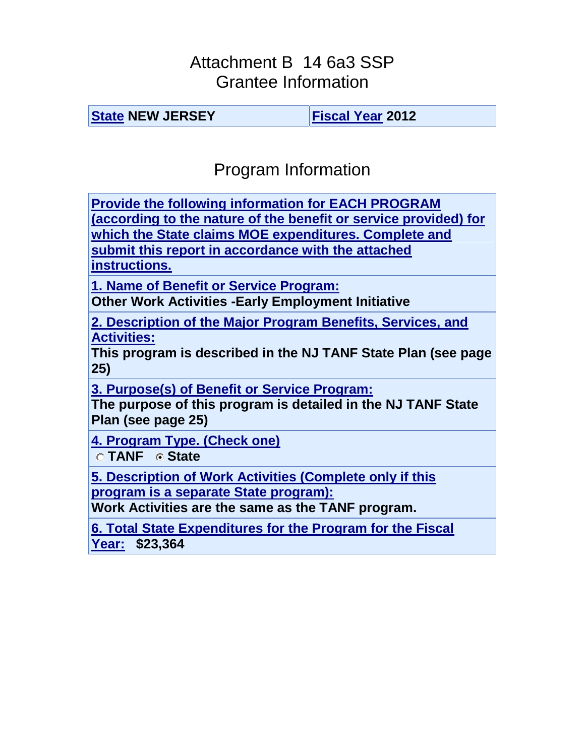### Attachment B 14 6a3 SSP Grantee Information

**[State](javascript:alert() NEW JERSEY [Fiscal Year](javascript:alert() 2012**

# Program Information

**[Provide the following information for EACH PROGRAM](javascript:alert()  [\(according to the nature of the benefit or service provided\) for](javascript:alert()  [which the State claims MOE expenditures. Complete and](javascript:alert()  [submit this report in accordance with the attached](javascript:alert()  [instructions.](javascript:alert()**

**1. Name of Benefit or Service Program:**

**Other Work Activities -Early Employment Initiative**

**[2. Description of the Major Program Benefits, Services, and](javascript:alert()  [Activities:](javascript:alert()**

**This program is described in the NJ TANF State Plan (see page 25)**

**[3. Purpose\(s\) of Benefit or Service Program:](javascript:alert()**

**The purpose of this program is detailed in the NJ TANF State Plan (see page 25)**

**[4. Program Type. \(Check one\)](javascript:alert()**

**TANF State** 

**5. Description of Work Activities (Complete only if this program is a separate State program):**

**Work Activities are the same as the TANF program.**

**[6. Total State Expenditures for the Program for the Fiscal](javascript:alert() [Year:](javascript:alert() \$23,364**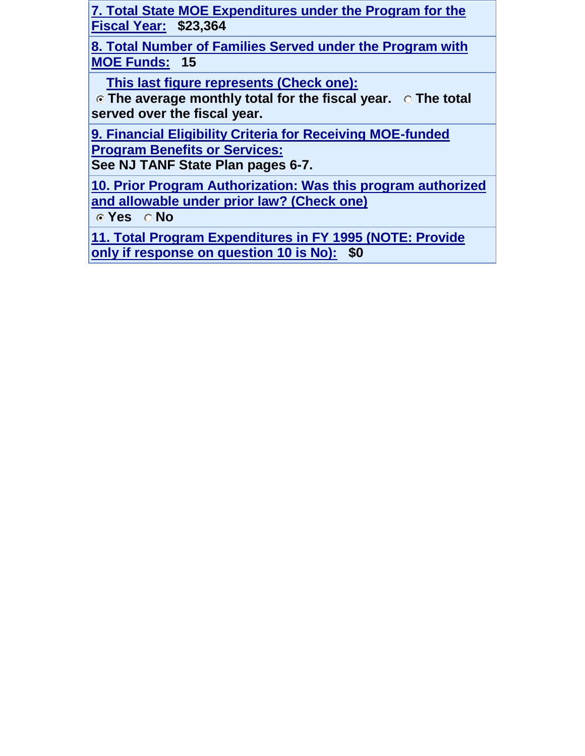**7. Total State MOE Expenditures under the Program for the Fiscal Year: \$23,364**

**8. Total Number of Families Served under the Program with MOE Funds: 15**

 **This last figure represents (Check one):**

**The average monthly total for the fiscal year. The total served over the fiscal year.** 

**9. Financial Eligibility Criteria for Receiving MOE-funded Program Benefits or Services:**

**See NJ TANF State Plan pages 6-7.**

**[10. Prior Program Authorization: Was this program authorized](javascript:alert()  [and allowable under prior law? \(Check one\)](javascript:alert()**

**Yes No**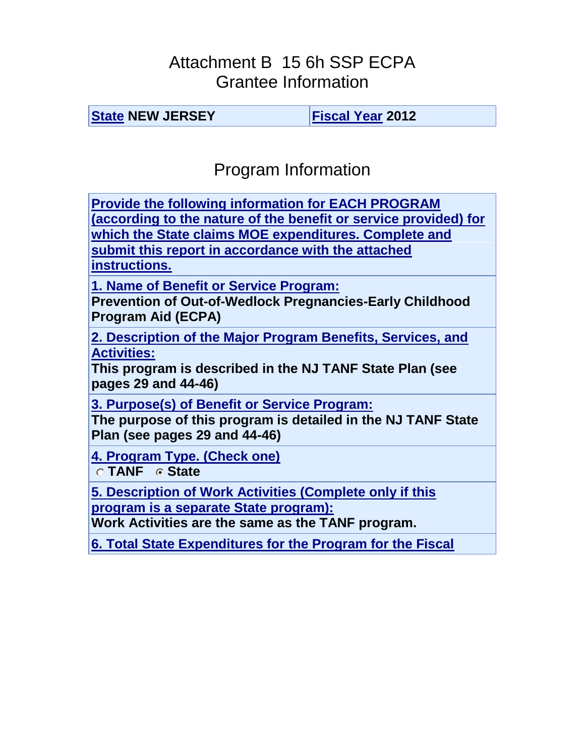### Attachment B 15 6h SSP ECPA Grantee Information

**[State](javascript:alert() NEW JERSEY [Fiscal Year](javascript:alert() 2012**

# Program Information

**[Provide the following information for EACH PROGRAM](javascript:alert()  [\(according to the nature of the benefit or service provided\) for](javascript:alert()  [which the State claims MOE expenditures. Complete and](javascript:alert()  [submit this report in accordance with the attached](javascript:alert()  [instructions.](javascript:alert()**

**1. Name of Benefit or Service Program:**

**Prevention of Out-of-Wedlock Pregnancies-Early Childhood Program Aid (ECPA)**

**[2. Description of the Major Program Benefits, Services, and](javascript:alert()  [Activities:](javascript:alert()**

**This program is described in the NJ TANF State Plan (see pages 29 and 44-46)**

**[3. Purpose\(s\) of Benefit or Service Program:](javascript:alert()**

**The purpose of this program is detailed in the NJ TANF State Plan (see pages 29 and 44-46)**

**[4. Program Type. \(Check one\)](javascript:alert()**

**TANF State** 

**5. Description of Work Activities (Complete only if this program is a separate State program):**

**Work Activities are the same as the TANF program.**

**[6. Total State Expenditures for the Program for the Fiscal](javascript:alert()**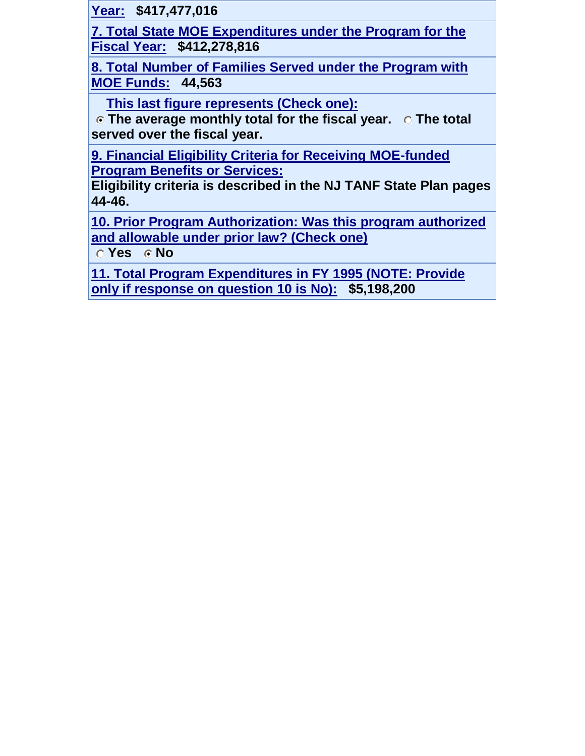**Year: \$417,477,016**

**7. Total State MOE Expenditures under the Program for the Fiscal Year: \$412,278,816**

**8. Total Number of Families Served under the Program with MOE Funds: 44,563**

 **This last figure represents (Check one):**

**The average monthly total for the fiscal year. The total served over the fiscal year.** 

**9. Financial Eligibility Criteria for Receiving MOE-funded Program Benefits or Services:**

**Eligibility criteria is described in the NJ TANF State Plan pages 44-46.**

**[10. Prior Program Authorization: Was this program authorized](javascript:alert()  [and allowable under prior law? \(Check one\)](javascript:alert()**

**C** Yes **C** No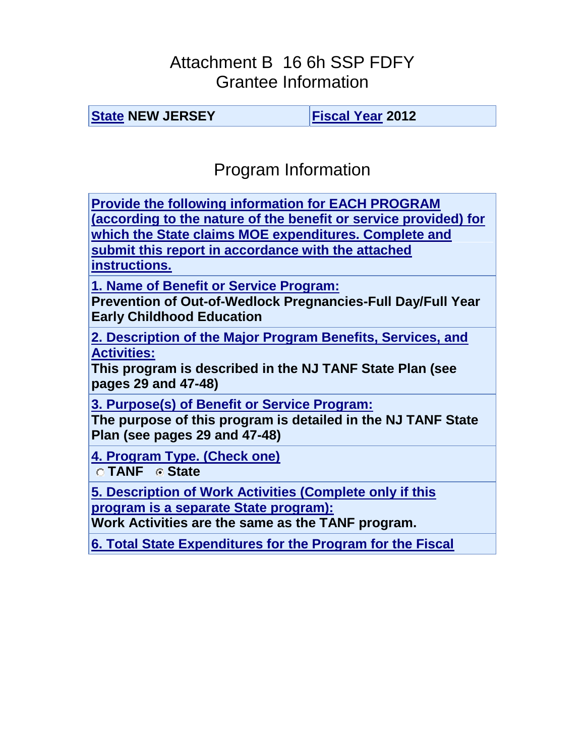### Attachment B 16 6h SSP FDFY Grantee Information

**[State](javascript:alert() NEW JERSEY [Fiscal Year](javascript:alert() 2012**

# Program Information

**[Provide the following information for EACH PROGRAM](javascript:alert()  [\(according to the nature of the benefit or service provided\) for](javascript:alert()  [which the State claims MOE expenditures. Complete and](javascript:alert()  [submit this report in accordance with the attached](javascript:alert()  [instructions.](javascript:alert()**

**1. Name of Benefit or Service Program:**

**Prevention of Out-of-Wedlock Pregnancies-Full Day/Full Year Early Childhood Education**

**[2. Description of the Major Program Benefits, Services, and](javascript:alert()  [Activities:](javascript:alert()**

**This program is described in the NJ TANF State Plan (see pages 29 and 47-48)**

**[3. Purpose\(s\) of Benefit or Service Program:](javascript:alert() The purpose of this program is detailed in the NJ TANF State** 

**Plan (see pages 29 and 47-48)**

**[4. Program Type. \(Check one\)](javascript:alert()**

**TANF State** 

**5. Description of Work Activities (Complete only if this program is a separate State program):**

**Work Activities are the same as the TANF program.**

**[6. Total State Expenditures for the Program for the Fiscal](javascript:alert()**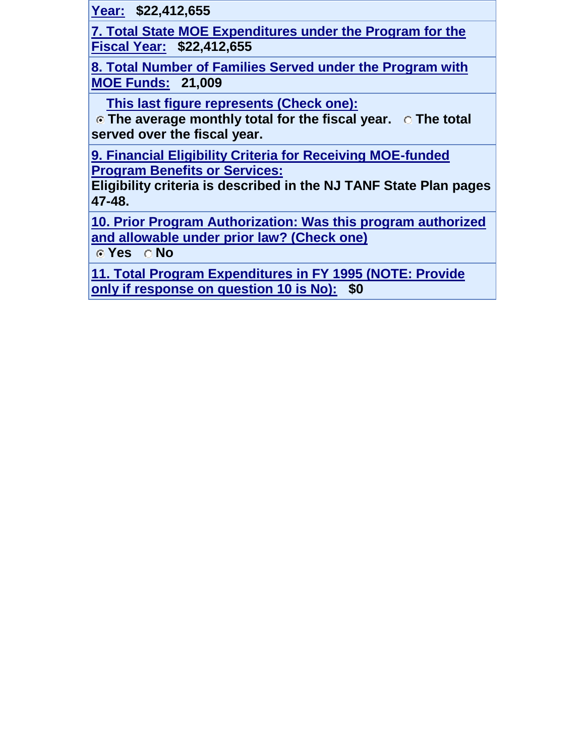**Year: \$22,412,655**

**7. Total State MOE Expenditures under the Program for the Fiscal Year: \$22,412,655**

**8. Total Number of Families Served under the Program with MOE Funds: 21,009**

 **This last figure represents (Check one):**

**The average monthly total for the fiscal year. The total served over the fiscal year.** 

**9. Financial Eligibility Criteria for Receiving MOE-funded Program Benefits or Services:**

**Eligibility criteria is described in the NJ TANF State Plan pages 47-48.**

**[10. Prior Program Authorization: Was this program authorized](javascript:alert()  [and allowable under prior law? \(Check one\)](javascript:alert()**

**Yes No**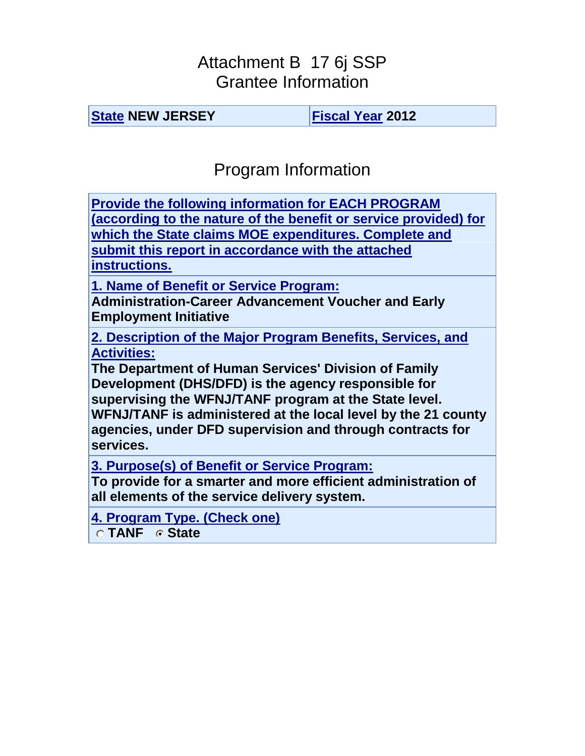### Attachment B 17 6j SSP Grantee Information

**[State](javascript:alert() NEW JERSEY [Fiscal Year](javascript:alert() 2012**

# Program Information

**[Provide the following information for EACH PROGRAM](javascript:alert()  [\(according to the nature of the benefit or service provided\) for](javascript:alert()  [which the State claims MOE expenditures. Complete and](javascript:alert()  [submit this report in accordance with the attached](javascript:alert()  [instructions.](javascript:alert()**

**1. Name of Benefit or Service Program:**

**Administration-Career Advancement Voucher and Early Employment Initiative**

**[2. Description of the Major Program Benefits, Services, and](javascript:alert()  [Activities:](javascript:alert()**

**The Department of Human Services' Division of Family Development (DHS/DFD) is the agency responsible for supervising the WFNJ/TANF program at the State level. WFNJ/TANF is administered at the local level by the 21 county agencies, under DFD supervision and through contracts for services.**

**[3. Purpose\(s\) of Benefit or Service Program:](javascript:alert()**

**To provide for a smarter and more efficient administration of all elements of the service delivery system.**

**[4. Program Type. \(Check one\)](javascript:alert() TANF State**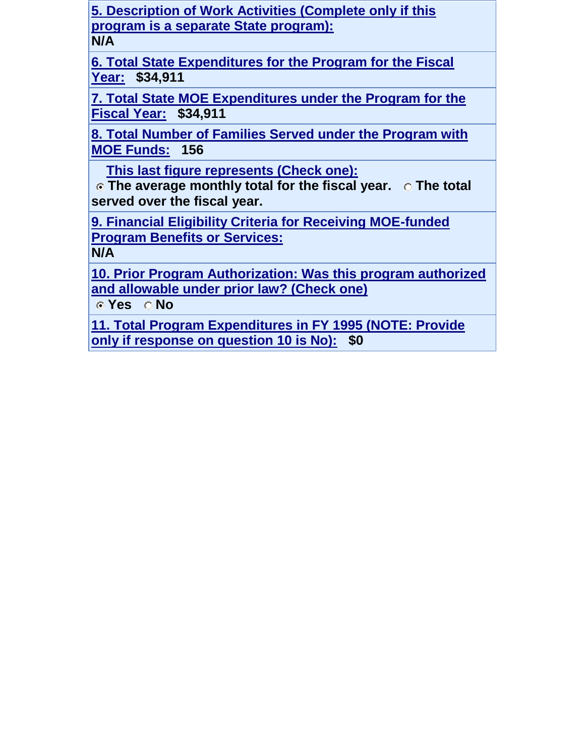**5. Description of Work Activities (Complete only if this program is a separate State program): N/A**

**[6. Total State Expenditures for the Program for the Fiscal](javascript:alert()  [Year:](javascript:alert() \$34,911**

**7. Total State MOE Expenditures under the Program for the Fiscal Year: \$34,911**

**8. Total Number of Families Served under the Program with MOE Funds: 156**

 **This last figure represents (Check one):**

**The average monthly total for the fiscal year.** C The total **served over the fiscal year.** 

**9. Financial Eligibility Criteria for Receiving MOE-funded Program Benefits or Services:**

**N/A**

**[10. Prior Program Authorization: Was this program authorized](javascript:alert()  [and allowable under prior law? \(Check one\)](javascript:alert()**

**&** Yes  $\circ$  No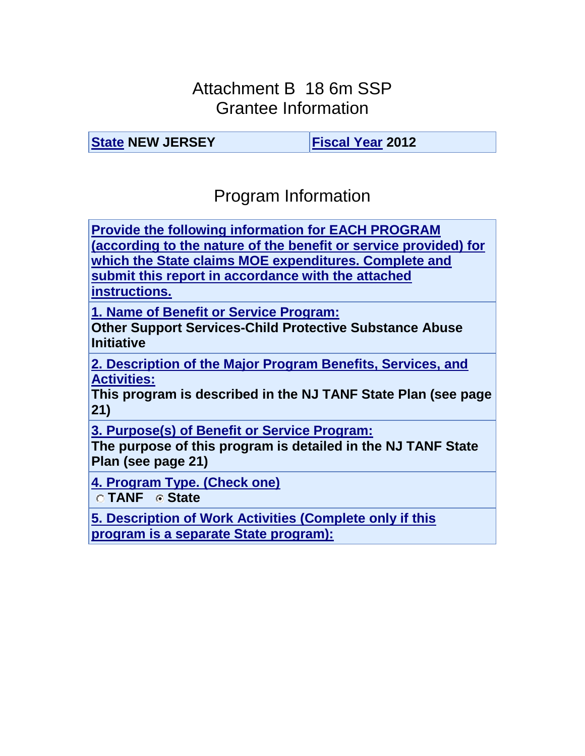### Attachment B 18 6m SSP Grantee Information

**[State](javascript:alert() NEW JERSEY [Fiscal Year](javascript:alert() 2012**

### Program Information

**[Provide the following information for EACH PROGRAM](javascript:alert()  [\(according to the nature of the benefit or service provided\) for](javascript:alert()  [which the State claims MOE expenditures. Complete and](javascript:alert()  [submit this report in accordance with the attached](javascript:alert()  [instructions.](javascript:alert()**

**1. Name of Benefit or Service Program:**

**Other Support Services-Child Protective Substance Abuse Initiative**

**[2. Description of the Major Program Benefits, Services, and](javascript:alert()  [Activities:](javascript:alert()**

**This program is described in the NJ TANF State Plan (see page 21)**

**[3. Purpose\(s\) of Benefit or Service Program:](javascript:alert()**

**The purpose of this program is detailed in the NJ TANF State Plan (see page 21)**

**[4. Program Type. \(Check one\)](javascript:alert()**

**TANF State** 

**5. Description of Work Activities (Complete only if this program is a separate State program):**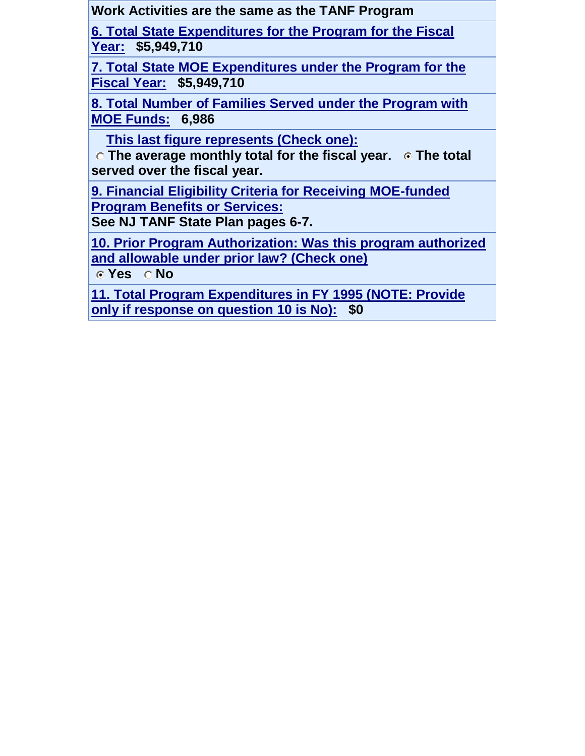**Work Activities are the same as the TANF Program**

**[6. Total State Expenditures for the Program for the Fiscal](javascript:alert()  [Year:](javascript:alert() \$5,949,710**

**7. Total State MOE Expenditures under the Program for the Fiscal Year: \$5,949,710**

**8. Total Number of Families Served under the Program with MOE Funds: 6,986**

 **This last figure represents (Check one):**

**The average monthly total for the fiscal year. 
In The total served over the fiscal year.** 

**9. Financial Eligibility Criteria for Receiving MOE-funded Program Benefits or Services:**

**See NJ TANF State Plan pages 6-7.**

**[10. Prior Program Authorization: Was this program authorized](javascript:alert()  [and allowable under prior law? \(Check one\)](javascript:alert()**

**&** Yes  $\circ$  No